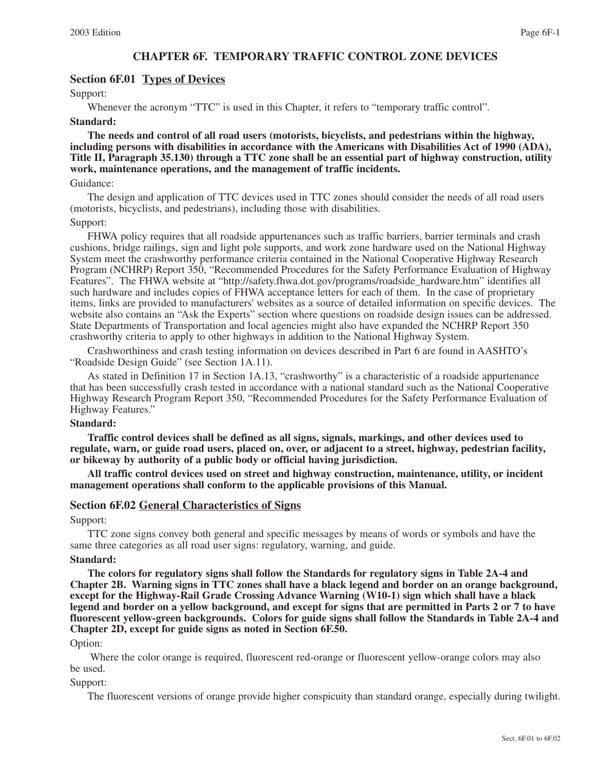# **CHAPTER 6F. TEMPORARY TRAFFIC CONTROL ZONE DEVICES**

#### **Section 6F.01 Types of Devices**

#### Support:

Whenever the acronym "TTC" is used in this Chapter, it refers to "temporary traffic control".

#### **Standard:**

**The needs and control of all road users (motorists, bicyclists, and pedestrians within the highway, including persons with disabilities in accordance with the Americans with Disabilities Act of 1990 (ADA), Title II, Paragraph 35.130) through a TTC zone shall be an essential part of highway construction, utility work, maintenance operations, and the management of traffic incidents.**

#### Guidance:

The design and application of TTC devices used in TTC zones should consider the needs of all road users (motorists, bicyclists, and pedestrians), including those with disabilities.

#### Support:

FHWA policy requires that all roadside appurtenances such as traffic barriers, barrier terminals and crash cushions, bridge railings, sign and light pole supports, and work zone hardware used on the National Highway System meet the crashworthy performance criteria contained in the National Cooperative Highway Research Program (NCHRP) Report 350, "Recommended Procedures for the Safety Performance Evaluation of Highway Features". The FHWA website at "http://safety.fhwa.dot.gov/programs/roadside\_hardware.htm" identifies all such hardware and includes copies of FHWA acceptance letters for each of them. In the case of proprietary items, links are provided to manufacturers' websites as a source of detailed information on specific devices. The website also contains an "Ask the Experts" section where questions on roadside design issues can be addressed. State Departments of Transportation and local agencies might also have expanded the NCHRP Report 350 crashworthy criteria to apply to other highways in addition to the National Highway System.

Crashworthiness and crash testing information on devices described in Part 6 are found in AASHTO's "Roadside Design Guide" (see Section 1A.11).

As stated in Definition 17 in Section 1A.13, "crashworthy" is a characteristic of a roadside appurtenance that has been successfully crash tested in accordance with a national standard such as the National Cooperative Highway Research Program Report 350, "Recommended Procedures for the Safety Performance Evaluation of Highway Features."

#### **Standard:**

**Traffic control devices shall be defined as all signs, signals, markings, and other devices used to regulate, warn, or guide road users, placed on, over, or adjacent to a street, highway, pedestrian facility, or bikeway by authority of a public body or official having jurisdiction.**

**All traffic control devices used on street and highway construction, maintenance, utility, or incident management operations shall conform to the applicable provisions of this Manual.**

#### **Section 6F.02 General Characteristics of Signs**

#### Support:

TTC zone signs convey both general and specific messages by means of words or symbols and have the same three categories as all road user signs: regulatory, warning, and guide.

#### **Standard:**

**The colors for regulatory signs shall follow the Standards for regulatory signs in Table 2A-4 and Chapter 2B. Warning signs in TTC zones shall have a black legend and border on an orange background, except for the Highway-Rail Grade Crossing Advance Warning (W10-1) sign which shall have a black legend and border on a yellow background, and except for signs that are permitted in Parts 2 or 7 to have fluorescent yellow-green backgrounds. Colors for guide signs shall follow the Standards in Table 2A-4 and Chapter 2D, except for guide signs as noted in Section 6F.50.**

#### Option:

Where the color orange is required, fluorescent red-orange or fluorescent yellow-orange colors may also be used.

#### Support:

The fluorescent versions of orange provide higher conspicuity than standard orange, especially during twilight.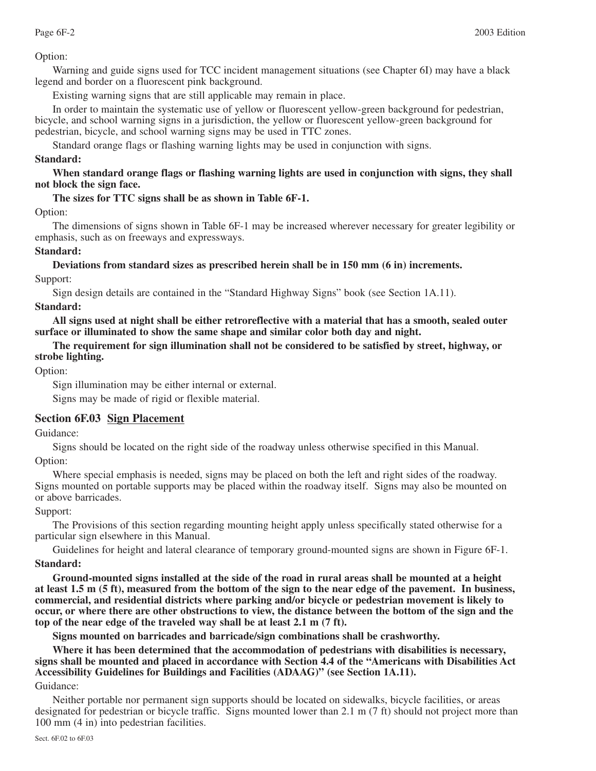# Option:

Warning and guide signs used for TCC incident management situations (see Chapter 6I) may have a black legend and border on a fluorescent pink background.

Existing warning signs that are still applicable may remain in place.

In order to maintain the systematic use of yellow or fluorescent yellow-green background for pedestrian, bicycle, and school warning signs in a jurisdiction, the yellow or fluorescent yellow-green background for pedestrian, bicycle, and school warning signs may be used in TTC zones.

Standard orange flags or flashing warning lights may be used in conjunction with signs.

# **Standard:**

# **When standard orange flags or flashing warning lights are used in conjunction with signs, they shall not block the sign face.**

# **The sizes for TTC signs shall be as shown in Table 6F-1.**

# Option:

The dimensions of signs shown in Table 6F-1 may be increased wherever necessary for greater legibility or emphasis, such as on freeways and expressways.

# **Standard:**

# **Deviations from standard sizes as prescribed herein shall be in 150 mm (6 in) increments.**

Support:

Sign design details are contained in the "Standard Highway Signs" book (see Section 1A.11).

# **Standard:**

**All signs used at night shall be either retroreflective with a material that has a smooth, sealed outer surface or illuminated to show the same shape and similar color both day and night.**

**The requirement for sign illumination shall not be considered to be satisfied by street, highway, or strobe lighting.**

Option:

Sign illumination may be either internal or external.

Signs may be made of rigid or flexible material.

# **Section 6F.03 Sign Placement**

# Guidance:

Signs should be located on the right side of the roadway unless otherwise specified in this Manual. Option:

Where special emphasis is needed, signs may be placed on both the left and right sides of the roadway. Signs mounted on portable supports may be placed within the roadway itself. Signs may also be mounted on or above barricades.

Support:

The Provisions of this section regarding mounting height apply unless specifically stated otherwise for a particular sign elsewhere in this Manual.

Guidelines for height and lateral clearance of temporary ground-mounted signs are shown in Figure 6F-1. **Standard:**

**Ground-mounted signs installed at the side of the road in rural areas shall be mounted at a height at least 1.5 m (5 ft), measured from the bottom of the sign to the near edge of the pavement. In business, commercial, and residential districts where parking and/or bicycle or pedestrian movement is likely to occur, or where there are other obstructions to view, the distance between the bottom of the sign and the top of the near edge of the traveled way shall be at least 2.1 m (7 ft).**

**Signs mounted on barricades and barricade/sign combinations shall be crashworthy.**

**Where it has been determined that the accommodation of pedestrians with disabilities is necessary, signs shall be mounted and placed in accordance with Section 4.4 of the "Americans with Disabilities Act Accessibility Guidelines for Buildings and Facilities (ADAAG)" (see Section 1A.11).**

## Guidance:

Neither portable nor permanent sign supports should be located on sidewalks, bicycle facilities, or areas designated for pedestrian or bicycle traffic. Signs mounted lower than 2.1 m (7 ft) should not project more than 100 mm (4 in) into pedestrian facilities.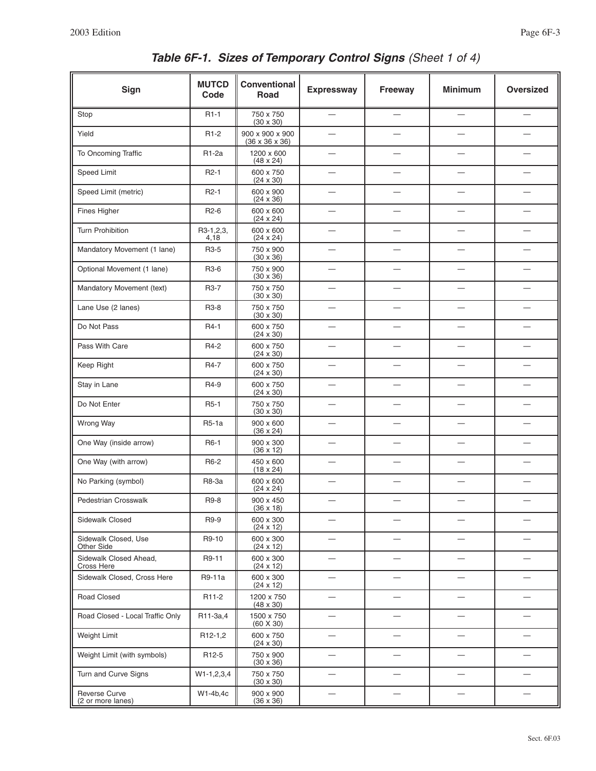| Sign                                 | <b>MUTCD</b><br>Code  | <b>Conventional</b><br><b>Road</b>            | <b>Expressway</b> | Freeway | <b>Minimum</b>           | <b>Oversized</b> |
|--------------------------------------|-----------------------|-----------------------------------------------|-------------------|---------|--------------------------|------------------|
| Stop                                 | $R1-1$                | 750 x 750<br>$(30 \times 30)$                 |                   |         |                          |                  |
| Yield                                | R1-2                  | 900 x 900 x 900<br>$(36 \times 36 \times 36)$ |                   |         |                          |                  |
| To Oncoming Traffic                  | R1-2a                 | 1200 x 600<br>$(48 \times 24)$                |                   |         |                          |                  |
| Speed Limit                          | $R2-1$                | 600 x 750<br>$(24 \times 30)$                 |                   |         | $\overline{\phantom{0}}$ |                  |
| Speed Limit (metric)                 | $R2-1$                | 600 x 900<br>$(24 \times 36)$                 |                   |         | $\overline{\phantom{0}}$ |                  |
| Fines Higher                         | R <sub>2</sub> -6     | 600 x 600<br>$(24 \times 24)$                 |                   |         |                          |                  |
| Turn Prohibition                     | $R3-1, 2, 3,$<br>4,18 | 600 x 600<br>$(24 \times 24)$                 |                   |         |                          |                  |
| Mandatory Movement (1 lane)          | R3-5                  | 750 x 900<br>$(30 \times 36)$                 |                   |         |                          |                  |
| Optional Movement (1 lane)           | R3-6                  | 750 x 900<br>$(30 \times 36)$                 |                   |         |                          |                  |
| Mandatory Movement (text)            | R <sub>3</sub> -7     | 750 x 750<br>$(30 \times 30)$                 |                   |         |                          |                  |
| Lane Use (2 lanes)                   | R <sub>3</sub> -8     | 750 x 750<br>$(30 \times 30)$                 |                   |         |                          |                  |
| Do Not Pass                          | R4-1                  | 600 x 750<br>$(24 \times 30)$                 |                   |         |                          |                  |
| Pass With Care                       | R4-2                  | 600 x 750<br>$(24 \times 30)$                 |                   |         |                          |                  |
| Keep Right                           | R4-7                  | 600 x 750<br>$(24 \times 30)$                 |                   |         | $\overline{\phantom{0}}$ |                  |
| Stay in Lane                         | R4-9                  | 600 x 750<br>$(24 \times 30)$                 |                   |         | $\overline{\phantom{0}}$ |                  |
| Do Not Enter                         | $R5-1$                | 750 x 750<br>$(30 \times 30)$                 |                   |         |                          |                  |
| Wrong Way                            | R5-1a                 | 900 x 600<br>$(36 \times 24)$                 |                   |         |                          |                  |
| One Way (inside arrow)               | R6-1                  | 900 x 300<br>$(36 \times 12)$                 |                   |         | $\overline{\phantom{0}}$ |                  |
| One Way (with arrow)                 | R6-2                  | 450 x 600<br>$(18 \times 24)$                 |                   |         |                          |                  |
| No Parking (symbol)                  | R8-3a                 | 600 x 600<br>$(24 \times 24)$                 |                   |         |                          |                  |
| Pedestrian Crosswalk                 | R9-8                  | 900 x 450<br>$(36 \times 18)$                 |                   |         |                          |                  |
| Sidewalk Closed                      | R9-9                  | 600 x 300<br>$(24 \times 12)$                 |                   |         |                          |                  |
| Sidewalk Closed, Use<br>Other Side   | R9-10                 | 600 x 300<br>$(24 \times 12)$                 |                   |         |                          |                  |
| Sidewalk Closed Ahead,<br>Cross Here | R9-11                 | 600 x 300<br>$(24 \times 12)$                 |                   |         |                          |                  |
| Sidewalk Closed, Cross Here          | R9-11a                | 600 x 300<br>$(24 \times 12)$                 |                   |         |                          |                  |
| Road Closed                          | R11-2                 | 1200 x 750<br>$(48 \times 30)$                |                   |         |                          |                  |
| Road Closed - Local Traffic Only     | R11-3a,4              | 1500 x 750<br>$(60 \times 30)$                |                   |         |                          |                  |
| <b>Weight Limit</b>                  | R <sub>12</sub> -1,2  | 600 x 750<br>$(24 \times 30)$                 |                   |         |                          |                  |
| Weight Limit (with symbols)          | R <sub>12</sub> -5    | 750 x 900<br>$(30 \times 36)$                 |                   |         |                          |                  |
| Turn and Curve Signs                 | $W1-1, 2, 3, 4$       | 750 x 750<br>$(30 \times 30)$                 |                   |         |                          |                  |
| Reverse Curve<br>(2 or more lanes)   | W1-4b,4c              | 900 x 900<br>$(36 \times 36)$                 |                   |         |                          |                  |

# *Table 6F-1. Sizes of Temporary Control Signs (Sheet 1 of 4)*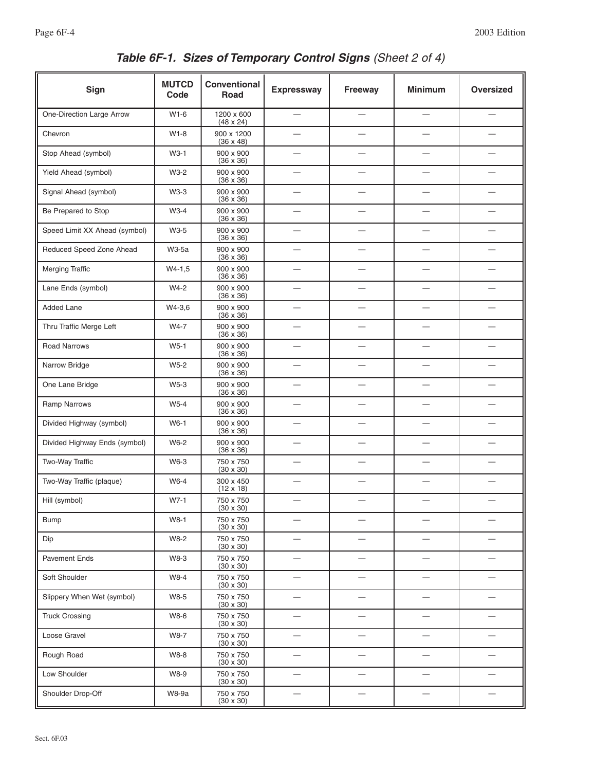#### One-Direction Large Arrow  $\parallel$  W1-6  $\parallel$  1200 x 600 (48 x 24) Chevron W1-8 900 x 1200 — — — — (36 x 48) Stop Ahead (symbol) W3-1 900 x 900 — — — — (36 x 36)  $Yield Ahead (symbol)$   $\longrightarrow$   $\qquad$   $\qquad$   $\qquad$   $\qquad$   $\qquad$   $\qquad$   $\qquad$   $\qquad$   $\qquad$   $\qquad$   $\qquad$   $\qquad$   $\qquad$   $\qquad$   $\qquad$   $\qquad$   $\qquad$   $\qquad$   $\qquad$   $\qquad$   $\qquad$   $\qquad$   $\qquad$   $\qquad$   $\qquad$   $\qquad$   $\qquad$   $\qquad$   $\qquad$   $\qquad$   $\qquad$   $\qquad$   $\qquad$   $\qquad$   $\$ (36 x 36) Signal Ahead (symbol) W3-3 900 x 900 — — — — (36 x 36) Be Prepared to Stop  $\parallel$  W3-4  $\parallel$  900 x 900 (36 x 36) Speed Limit XX Ahead (symbol) | W3-5  $\parallel$  900 x 900 | — | — | — (36 x 36) Reduced Speed Zone Ahead W3-5a 900 x 900 — — — — (36 x 36) Merging Traffic  $\parallel$  W4-1,5  $\parallel$  900 x 900 (36 x 36) Lane Ends (symbol) W4-2 900 x 900 — — — — (36 x 36) Added Lane | W4-3,6 || 900 x 900 | — | — — (36 x 36) Thru Traffic Merge Left W4-7 900 x 900 — — — — (36 x 36) Road Narrows | W5-1 || 900 x 900 | — | — — — (36 x 36) Narrow Bridge **National Politics W5-2** | 900 x 900 (36 x 36) One Lane Bridge  $\vert$  W5-3  $\vert$  900 x 900  $\vert$   $\vert$   $\vert$   $-$ (36 x 36) Ramp Narrows | W5-4 || 900 x 900 | — | — | — (36 x 36) Divided Highway (symbol)  $\begin{array}{|c|c|c|c|c|c|c|c|} \hline \text{W6-1} & \text{900 x 900} \hline \end{array}$ (36 x 36) Divided Highway Ends (symbol)  $\begin{array}{|c|c|c|c|c|} \hline \text{W6-2} & \text{900 x 900} \hline \end{array}$ (36 x 36) Two-Way Traffic  $\parallel$  W6-3  $\parallel$  750 x 750 (30 x 30) Two-Way Traffic (plaque) W6-4 300 x 450 — — — — (12 x 18) Hill (symbol) | W7-1 || 750 x 750 | — | — — (30 x 30) Bump | W8-1 || 750 x 750 | — | — — (30 x 30) Dip | W8-2 || 750 x 750 | — | — | — — (30 x 30) Pavement Ends | W8-3 || 750 x 750 | — | — | — | (30 x 30) Soft Shoulder | W8-4 || 750 x 750 | — | — | — (30 x 30) Slippery When Wet (symbol)  $\parallel$  W8-5  $\parallel$  750 x 750 (30 x 30) Truck Crossing **W8-6** 250 x 750 (30 x 30) Loose Gravel | W8-7 || 750 x 750 | — | — — (30 x 30) Rough Road | W8-8 || 750 x 750 | — | — (30 x 30) Low Shoulder | W8-9 || 750 x 750 | ― | ― | ― | (30 x 30) Shoulder Drop-Off  $\vert$  W8-9a  $\vert$  750 x 750 (30 x 30) **Sign MUTCD Code Conventional Road Expressway Freeway Minimum Oversized**

# *Table 6F-1. Sizes of Temporary Control Signs (Sheet 2 of 4)*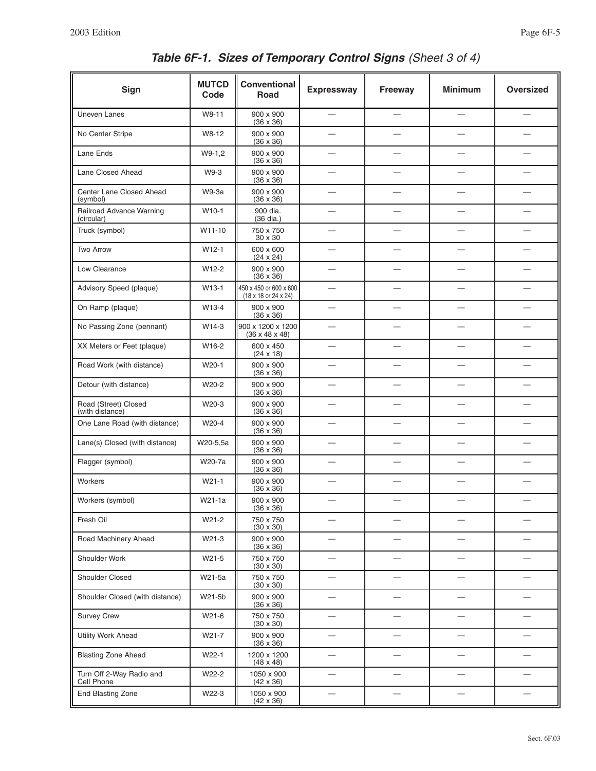| Sign                                    | <b>MUTCD</b><br>Code | <b>Conventional</b><br><b>Road</b>              | <b>Expressway</b>        | <b>Freeway</b> | <b>Minimum</b>           | <b>Oversized</b>         |
|-----------------------------------------|----------------------|-------------------------------------------------|--------------------------|----------------|--------------------------|--------------------------|
| <b>Uneven Lanes</b>                     | W8-11                | 900 x 900<br>$(36 \times 36)$                   |                          |                |                          |                          |
| No Center Stripe                        | W8-12                | 900 x 900<br>$(36 \times 36)$                   |                          |                |                          |                          |
| Lane Ends                               | $W9-1,2$             | 900 x 900<br>$(36 \times 36)$                   |                          |                |                          |                          |
| Lane Closed Ahead                       | W9-3                 | 900 x 900<br>$(36 \times 36)$                   | $\overline{\phantom{0}}$ |                | $\overline{\phantom{0}}$ |                          |
| Center Lane Closed Ahead<br>(symbol)    | <b>W9-3a</b>         | 900 x 900<br>$(36 \times 36)$                   |                          |                |                          |                          |
| Railroad Advance Warning<br>(circular)  | W <sub>10-1</sub>    | 900 dia.<br>(36 dia.)                           |                          |                |                          |                          |
| Truck (symbol)                          | W11-10               | 750 x 750<br>30 x 30                            |                          |                |                          |                          |
| Two Arrow                               | $W12-1$              | 600 x 600<br>$(24 \times 24)$                   |                          |                | $\overline{\phantom{0}}$ |                          |
| Low Clearance                           | W12-2                | 900 x 900<br>$(36 \times 36)$                   |                          |                |                          |                          |
| Advisory Speed (plaque)                 | W13-1                | 450 x 450 or 600 x 600<br>(18 x 18 or 24 x 24)  | $\overline{\phantom{0}}$ |                |                          |                          |
| On Ramp (plaque)                        | W13-4                | 900 x 900<br>$(36 \times 36)$                   |                          |                |                          |                          |
| No Passing Zone (pennant)               | W14-3                | 900 x 1200 x 1200<br>$(36 \times 48 \times 48)$ | $\overline{\phantom{0}}$ |                |                          |                          |
| XX Meters or Feet (plaque)              | W16-2                | 600 x 450<br>$(24 \times 18)$                   |                          |                |                          |                          |
| Road Work (with distance)               | W20-1                | 900 x 900<br>$(36 \times 36)$                   |                          |                |                          |                          |
| Detour (with distance)                  | W20-2                | 900 x 900<br>$(36 \times 36)$                   |                          |                |                          |                          |
| Road (Street) Closed<br>(with distance) | W20-3                | 900 x 900<br>$(36 \times 36)$                   |                          |                |                          |                          |
| One Lane Road (with distance)           | W20-4                | 900 x 900<br>$(36 \times 36)$                   | $\overline{\phantom{0}}$ |                | $\overline{\phantom{0}}$ |                          |
| Lane(s) Closed (with distance)          | W20-5,5a             | 900 x 900<br>$(36 \times 36)$                   | $\overline{\phantom{0}}$ |                |                          |                          |
| Flagger (symbol)                        | W20-7a               | 900 x 900<br>$(36 \times 36)$                   |                          |                |                          |                          |
| Workers                                 | $W21-1$              | 900 x 900<br>$(36 \times 36)$                   |                          |                |                          |                          |
| Workers (symbol)                        | W21-1a               | 900 x 900<br>$(36 \times 36)$                   |                          |                |                          |                          |
| Fresh Oil                               | W21-2                | 750 x 750<br>$(30 \times 30)$                   |                          |                |                          |                          |
| Road Machinery Ahead                    | W21-3                | 900 x 900<br>$(36 \times 36)$                   |                          |                |                          |                          |
| Shoulder Work                           | W21-5                | 750 x 750<br>$(30 \times 30)$                   |                          |                |                          |                          |
| Shoulder Closed                         | W21-5a               | 750 x 750<br>$(30 \times 30)$                   | $\overline{\phantom{0}}$ |                |                          |                          |
| Shoulder Closed (with distance)         | W21-5b               | 900 x 900<br>$(36 \times 36)$                   |                          |                |                          |                          |
| <b>Survey Crew</b>                      | W21-6                | 750 x 750<br>$(30 \times 30)$                   |                          |                | $\overline{\phantom{0}}$ |                          |
| <b>Utility Work Ahead</b>               | W21-7                | 900 x 900<br>$(36 \times 36)$                   | $\overline{\phantom{0}}$ |                | $\overline{\phantom{0}}$ |                          |
| <b>Blasting Zone Ahead</b>              | W22-1                | 1200 x 1200<br>$(48 \times 48)$                 |                          |                |                          |                          |
| Turn Off 2-Way Radio and<br>Cell Phone  | W22-2                | 1050 x 900<br>$(42 \times 36)$                  |                          |                |                          |                          |
| <b>End Blasting Zone</b>                | W22-3                | 1050 x 900<br>$(42 \times 36)$                  | —                        |                |                          | $\overline{\phantom{0}}$ |

# *Table 6F-1. Sizes of Temporary Control Signs (Sheet 3 of 4)*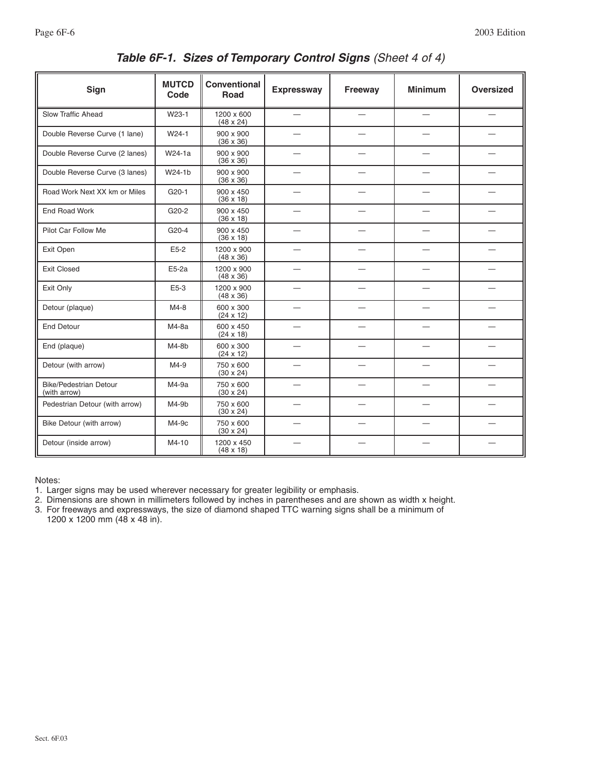| Sign                                          | <b>MUTCD</b><br>Code | <b>Conventional</b><br><b>Road</b> | <b>Expressway</b> | Freeway | <b>Minimum</b> | <b>Oversized</b> |
|-----------------------------------------------|----------------------|------------------------------------|-------------------|---------|----------------|------------------|
| Slow Traffic Ahead                            | W23-1                | 1200 x 600<br>$(48 \times 24)$     |                   |         |                |                  |
| Double Reverse Curve (1 lane)                 | W24-1                | 900 x 900<br>$(36 \times 36)$      |                   |         |                |                  |
| Double Reverse Curve (2 lanes)                | W24-1a               | 900 x 900<br>$(36 \times 36)$      |                   |         |                |                  |
| Double Reverse Curve (3 lanes)                | W24-1b               | 900 x 900<br>$(36 \times 36)$      |                   |         |                |                  |
| Road Work Next XX km or Miles                 | $G20-1$              | 900 x 450<br>$(36 \times 18)$      |                   |         |                |                  |
| <b>End Road Work</b>                          | $G20-2$              | 900 x 450<br>$(36 \times 18)$      |                   |         |                |                  |
| Pilot Car Follow Me                           | G20-4                | 900 x 450<br>$(36 \times 18)$      |                   |         |                |                  |
| Exit Open                                     | $E5-2$               | 1200 x 900<br>$(48 \times 36)$     |                   |         |                |                  |
| <b>Exit Closed</b>                            | E5-2a                | 1200 x 900<br>$(48 \times 36)$     |                   |         |                |                  |
| Exit Only                                     | E5-3                 | 1200 x 900<br>$(48 \times 36)$     |                   |         |                |                  |
| Detour (plaque)                               | $M4-8$               | 600 x 300<br>$(24 \times 12)$      |                   |         |                |                  |
| <b>End Detour</b>                             | M4-8a                | 600 x 450<br>$(24 \times 18)$      |                   |         |                |                  |
| End (plaque)                                  | $M4-8b$              | 600 x 300<br>$(24 \times 12)$      |                   |         |                |                  |
| Detour (with arrow)                           | $M4-9$               | 750 x 600<br>$(30 \times 24)$      |                   |         |                |                  |
| <b>Bike/Pedestrian Detour</b><br>(with arrow) | M4-9a                | 750 x 600<br>$(30 \times 24)$      |                   |         |                |                  |
| Pedestrian Detour (with arrow)                | $M4-9b$              | 750 x 600<br>$(30 \times 24)$      |                   |         |                |                  |
| Bike Detour (with arrow)                      | M4-9c                | 750 x 600<br>$(30 \times 24)$      |                   |         |                |                  |
| Detour (inside arrow)                         | M4-10                | 1200 x 450<br>$(48 \times 18)$     |                   |         |                |                  |

# *Table 6F-1. Sizes of Temporary Control Signs (Sheet 4 of 4)*

Notes:

1. Larger signs may be used wherever necessary for greater legibility or emphasis.

2. Dimensions are shown in millimeters followed by inches in parentheses and are shown as width x height.

3. For freeways and expressways, the size of diamond shaped TTC warning signs shall be a minimum of 1200 x 1200 mm (48 x 48 in).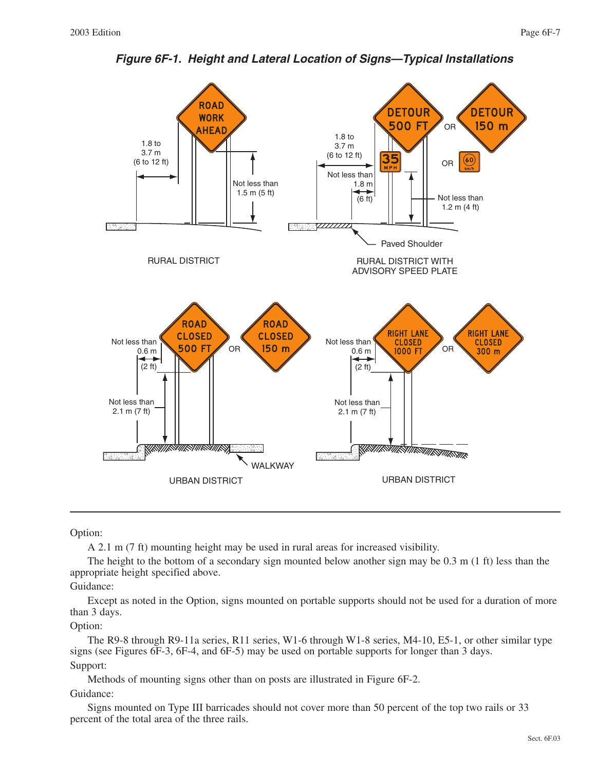

# **Figure 6F-1. Height and Lateral Location of Signs—Typical Installations**

Option:

A 2.1 m (7 ft) mounting height may be used in rural areas for increased visibility.

The height to the bottom of a secondary sign mounted below another sign may be 0.3 m (1 ft) less than the appropriate height specified above.

# Guidance:

Except as noted in the Option, signs mounted on portable supports should not be used for a duration of more than 3 days.

Option:

The R9-8 through R9-11a series, R11 series, W1-6 through W1-8 series, M4-10, E5-1, or other similar type signs (see Figures 6F-3, 6F-4, and 6F-5) may be used on portable supports for longer than 3 days. Support:

Methods of mounting signs other than on posts are illustrated in Figure 6F-2.

## Guidance:

Signs mounted on Type III barricades should not cover more than 50 percent of the top two rails or 33 percent of the total area of the three rails.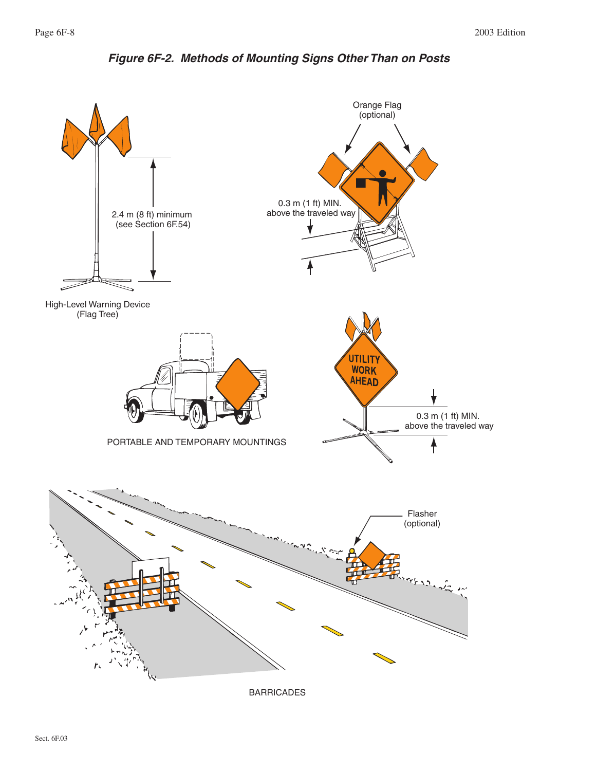

# **Figure 6F-2. Methods of Mounting Signs Other Than on Posts**

BARRICADES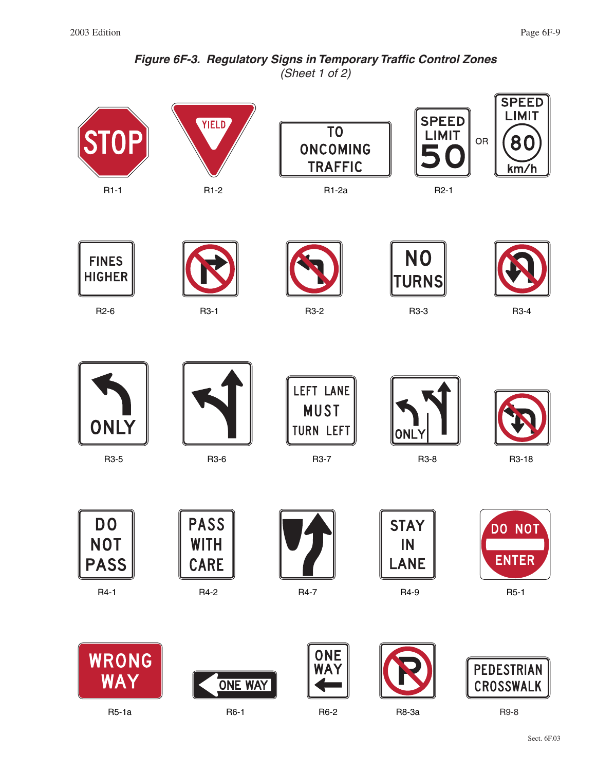

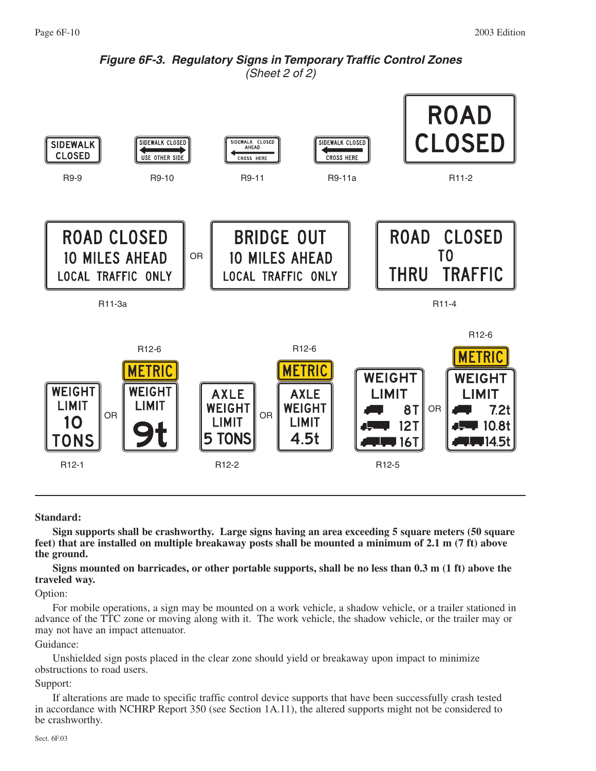# **Figure 6F-3. Regulatory Signs in Temporary Traffic Control Zones** (Sheet 2 of 2)



#### **Standard:**

**Sign supports shall be crashworthy. Large signs having an area exceeding 5 square meters (50 square feet) that are installed on multiple breakaway posts shall be mounted a minimum of 2.1 m (7 ft) above the ground.**

#### **Signs mounted on barricades, or other portable supports, shall be no less than 0.3 m (1 ft) above the traveled way.**

#### Option:

For mobile operations, a sign may be mounted on a work vehicle, a shadow vehicle, or a trailer stationed in advance of the TTC zone or moving along with it. The work vehicle, the shadow vehicle, or the trailer may or may not have an impact attenuator.

#### Guidance:

Unshielded sign posts placed in the clear zone should yield or breakaway upon impact to minimize obstructions to road users.

## Support:

If alterations are made to specific traffic control device supports that have been successfully crash tested in accordance with NCHRP Report 350 (see Section 1A.11), the altered supports might not be considered to be crashworthy.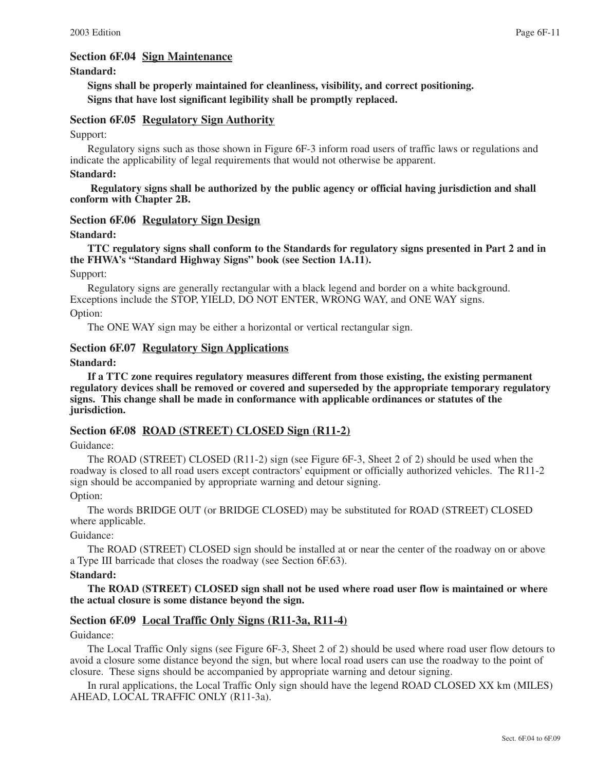#### **Standard:**

**Signs shall be properly maintained for cleanliness, visibility, and correct positioning. Signs that have lost significant legibility shall be promptly replaced.**

## **Section 6F.05 Regulatory Sign Authority**

Support:

Regulatory signs such as those shown in Figure 6F-3 inform road users of traffic laws or regulations and indicate the applicability of legal requirements that would not otherwise be apparent. **Standard:**

**Regulatory signs shall be authorized by the public agency or official having jurisdiction and shall conform with Chapter 2B.**

## **Section 6F.06 Regulatory Sign Design**

## **Standard:**

**TTC regulatory signs shall conform to the Standards for regulatory signs presented in Part 2 and in the FHWA's "Standard Highway Signs" book (see Section 1A.11).** 

Support:

Regulatory signs are generally rectangular with a black legend and border on a white background. Exceptions include the STOP, YIELD, DO NOT ENTER, WRONG WAY, and ONE WAY signs. Option:

The ONE WAY sign may be either a horizontal or vertical rectangular sign.

# **Section 6F.07 Regulatory Sign Applications**

#### **Standard:**

**If a TTC zone requires regulatory measures different from those existing, the existing permanent regulatory devices shall be removed or covered and superseded by the appropriate temporary regulatory signs. This change shall be made in conformance with applicable ordinances or statutes of the jurisdiction.** 

## **Section 6F.08 ROAD (STREET) CLOSED Sign (R11-2)**

Guidance:

The ROAD (STREET) CLOSED (R11-2) sign (see Figure 6F-3, Sheet 2 of 2) should be used when the roadway is closed to all road users except contractors' equipment or officially authorized vehicles. The R11-2 sign should be accompanied by appropriate warning and detour signing.

#### Option:

The words BRIDGE OUT (or BRIDGE CLOSED) may be substituted for ROAD (STREET) CLOSED where applicable.

## Guidance:

The ROAD (STREET) CLOSED sign should be installed at or near the center of the roadway on or above a Type III barricade that closes the roadway (see Section 6F.63).

## **Standard:**

**The ROAD (STREET) CLOSED sign shall not be used where road user flow is maintained or where the actual closure is some distance beyond the sign.**

# **Section 6F.09 Local Traffic Only Signs (R11-3a, R11-4)**

#### Guidance:

The Local Traffic Only signs (see Figure 6F-3, Sheet 2 of 2) should be used where road user flow detours to avoid a closure some distance beyond the sign, but where local road users can use the roadway to the point of closure. These signs should be accompanied by appropriate warning and detour signing.

In rural applications, the Local Traffic Only sign should have the legend ROAD CLOSED XX km (MILES) AHEAD, LOCAL TRAFFIC ONLY (R11-3a).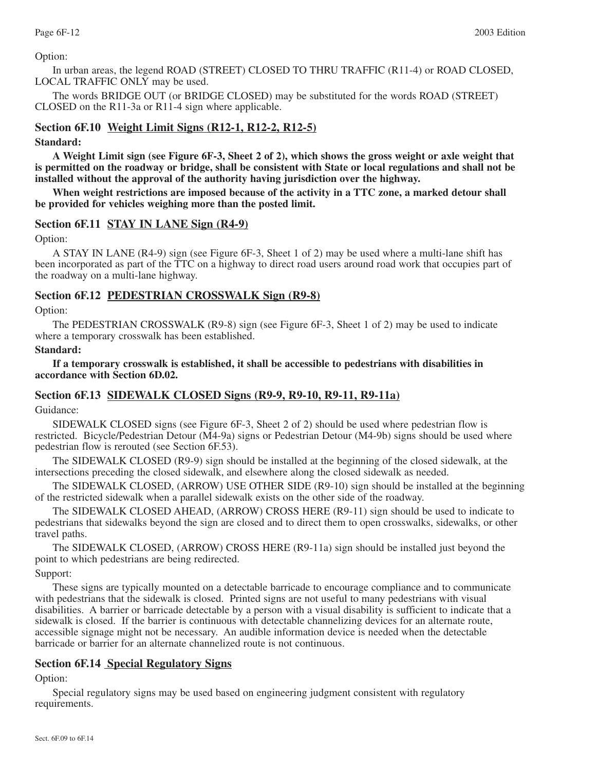Option:

In urban areas, the legend ROAD (STREET) CLOSED TO THRU TRAFFIC (R11-4) or ROAD CLOSED, LOCAL TRAFFIC ONLY may be used.

The words BRIDGE OUT (or BRIDGE CLOSED) may be substituted for the words ROAD (STREET) CLOSED on the R11-3a or R11-4 sign where applicable.

# **Section 6F.10 Weight Limit Signs (R12-1, R12-2, R12-5)**

## **Standard:**

**A Weight Limit sign (see Figure 6F-3, Sheet 2 of 2), which shows the gross weight or axle weight that is permitted on the roadway or bridge, shall be consistent with State or local regulations and shall not be installed without the approval of the authority having jurisdiction over the highway.**

**When weight restrictions are imposed because of the activity in a TTC zone, a marked detour shall be provided for vehicles weighing more than the posted limit.**

# **Section 6F.11 STAY IN LANE Sign (R4-9)**

## Option:

A STAY IN LANE (R4-9) sign (see Figure 6F-3, Sheet 1 of 2) may be used where a multi-lane shift has been incorporated as part of the TTC on a highway to direct road users around road work that occupies part of the roadway on a multi-lane highway.

# **Section 6F.12 PEDESTRIAN CROSSWALK Sign (R9-8)**

## Option:

The PEDESTRIAN CROSSWALK (R9-8) sign (see Figure 6F-3, Sheet 1 of 2) may be used to indicate where a temporary crosswalk has been established.

## **Standard:**

**If a temporary crosswalk is established, it shall be accessible to pedestrians with disabilities in accordance with Section 6D.02.**

# **Section 6F.13 SIDEWALK CLOSED Signs (R9-9, R9-10, R9-11, R9-11a)**

Guidance:

SIDEWALK CLOSED signs (see Figure 6F-3, Sheet 2 of 2) should be used where pedestrian flow is restricted. Bicycle/Pedestrian Detour (M4-9a) signs or Pedestrian Detour (M4-9b) signs should be used where pedestrian flow is rerouted (see Section 6F.53).

The SIDEWALK CLOSED (R9-9) sign should be installed at the beginning of the closed sidewalk, at the intersections preceding the closed sidewalk, and elsewhere along the closed sidewalk as needed.

The SIDEWALK CLOSED, (ARROW) USE OTHER SIDE (R9-10) sign should be installed at the beginning of the restricted sidewalk when a parallel sidewalk exists on the other side of the roadway.

The SIDEWALK CLOSED AHEAD, (ARROW) CROSS HERE (R9-11) sign should be used to indicate to pedestrians that sidewalks beyond the sign are closed and to direct them to open crosswalks, sidewalks, or other travel paths.

The SIDEWALK CLOSED, (ARROW) CROSS HERE (R9-11a) sign should be installed just beyond the point to which pedestrians are being redirected.

Support:

These signs are typically mounted on a detectable barricade to encourage compliance and to communicate with pedestrians that the sidewalk is closed. Printed signs are not useful to many pedestrians with visual disabilities. A barrier or barricade detectable by a person with a visual disability is sufficient to indicate that a sidewalk is closed. If the barrier is continuous with detectable channelizing devices for an alternate route, accessible signage might not be necessary. An audible information device is needed when the detectable barricade or barrier for an alternate channelized route is not continuous.

# **Section 6F.14 Special Regulatory Signs**

## Option:

Special regulatory signs may be used based on engineering judgment consistent with regulatory requirements.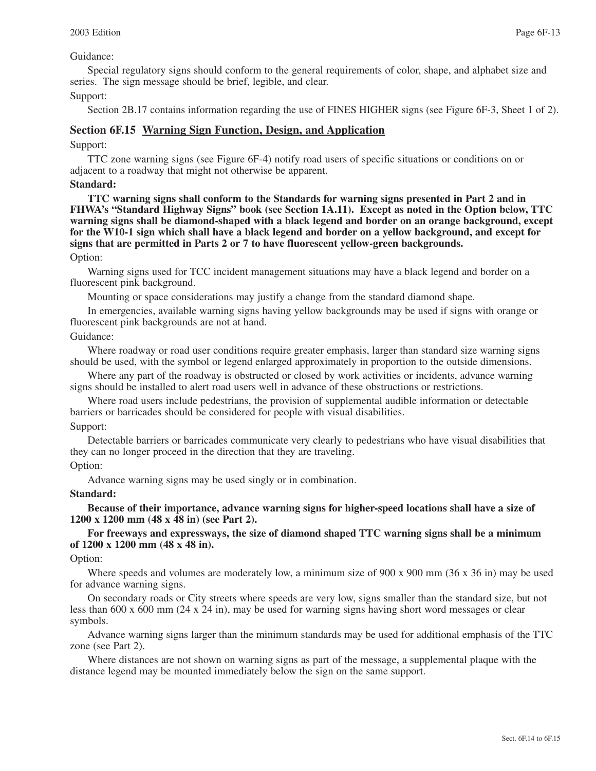Special regulatory signs should conform to the general requirements of color, shape, and alphabet size and series. The sign message should be brief, legible, and clear.

# Support:

Section 2B.17 contains information regarding the use of FINES HIGHER signs (see Figure 6F-3, Sheet 1 of 2).

## **Section 6F.15 Warning Sign Function, Design, and Application**

Support:

TTC zone warning signs (see Figure 6F-4) notify road users of specific situations or conditions on or adjacent to a roadway that might not otherwise be apparent.

## **Standard:**

**TTC warning signs shall conform to the Standards for warning signs presented in Part 2 and in FHWA's "Standard Highway Signs" book (see Section 1A.11). Except as noted in the Option below, TTC warning signs shall be diamond-shaped with a black legend and border on an orange background, except for the W10-1 sign which shall have a black legend and border on a yellow background, and except for signs that are permitted in Parts 2 or 7 to have fluorescent yellow-green backgrounds.**

Option:

Warning signs used for TCC incident management situations may have a black legend and border on a fluorescent pink background.

Mounting or space considerations may justify a change from the standard diamond shape.

In emergencies, available warning signs having yellow backgrounds may be used if signs with orange or fluorescent pink backgrounds are not at hand.

## Guidance:

Where roadway or road user conditions require greater emphasis, larger than standard size warning signs should be used, with the symbol or legend enlarged approximately in proportion to the outside dimensions.

Where any part of the roadway is obstructed or closed by work activities or incidents, advance warning signs should be installed to alert road users well in advance of these obstructions or restrictions.

Where road users include pedestrians, the provision of supplemental audible information or detectable barriers or barricades should be considered for people with visual disabilities.

## Support:

Detectable barriers or barricades communicate very clearly to pedestrians who have visual disabilities that they can no longer proceed in the direction that they are traveling.

## Option:

Advance warning signs may be used singly or in combination.

## **Standard:**

**Because of their importance, advance warning signs for higher-speed locations shall have a size of 1200 x 1200 mm (48 x 48 in) (see Part 2).**

## **For freeways and expressways, the size of diamond shaped TTC warning signs shall be a minimum of 1200 x 1200 mm (48 x 48 in).**

## Option:

Where speeds and volumes are moderately low, a minimum size of 900 x 900 mm (36 x 36 in) may be used for advance warning signs.

On secondary roads or City streets where speeds are very low, signs smaller than the standard size, but not less than 600 x 600 mm (24 x 24 in), may be used for warning signs having short word messages or clear symbols.

Advance warning signs larger than the minimum standards may be used for additional emphasis of the TTC zone (see Part 2).

Where distances are not shown on warning signs as part of the message, a supplemental plaque with the distance legend may be mounted immediately below the sign on the same support.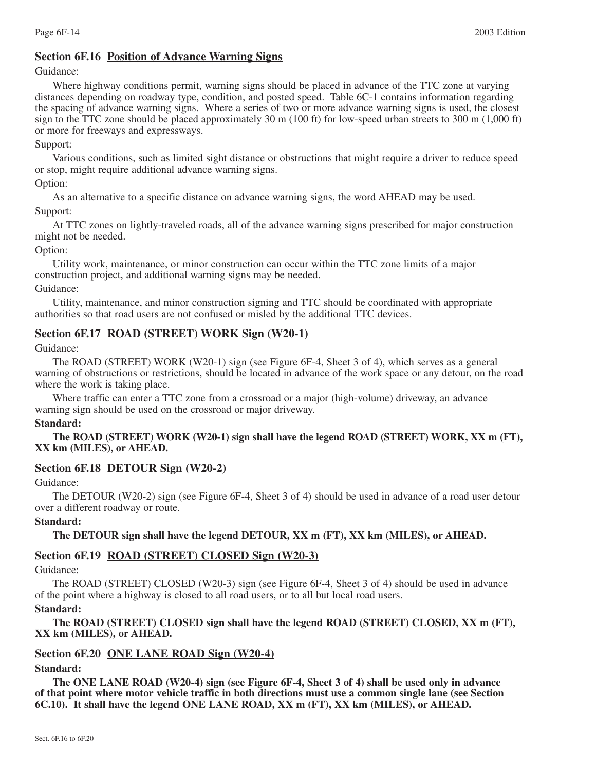# **Section 6F.16 Position of Advance Warning Signs**

## Guidance:

Where highway conditions permit, warning signs should be placed in advance of the TTC zone at varying distances depending on roadway type, condition, and posted speed. Table 6C-1 contains information regarding the spacing of advance warning signs. Where a series of two or more advance warning signs is used, the closest sign to the TTC zone should be placed approximately 30 m (100 ft) for low-speed urban streets to 300 m (1,000 ft) or more for freeways and expressways.

## Support:

Various conditions, such as limited sight distance or obstructions that might require a driver to reduce speed or stop, might require additional advance warning signs.

#### Option:

As an alternative to a specific distance on advance warning signs, the word AHEAD may be used. Support:

At TTC zones on lightly-traveled roads, all of the advance warning signs prescribed for major construction might not be needed.

Option:

Utility work, maintenance, or minor construction can occur within the TTC zone limits of a major construction project, and additional warning signs may be needed.

#### Guidance:

Utility, maintenance, and minor construction signing and TTC should be coordinated with appropriate authorities so that road users are not confused or misled by the additional TTC devices.

# **Section 6F.17 ROAD (STREET) WORK Sign (W20-1)**

#### Guidance:

The ROAD (STREET) WORK (W20-1) sign (see Figure 6F-4, Sheet 3 of 4), which serves as a general warning of obstructions or restrictions, should be located in advance of the work space or any detour, on the road where the work is taking place.

Where traffic can enter a TTC zone from a crossroad or a major (high-volume) driveway, an advance warning sign should be used on the crossroad or major driveway.

#### **Standard:**

**The ROAD (STREET) WORK (W20-1) sign shall have the legend ROAD (STREET) WORK, XX m (FT), XX km (MILES), or AHEAD.**

## **Section 6F.18 DETOUR Sign (W20-2)**

## Guidance:

The DETOUR (W20-2) sign (see Figure 6F-4, Sheet 3 of 4) should be used in advance of a road user detour over a different roadway or route.

#### **Standard:**

**The DETOUR sign shall have the legend DETOUR, XX m (FT), XX km (MILES), or AHEAD.**

## **Section 6F.19 ROAD (STREET) CLOSED Sign (W20-3)**

#### Guidance:

The ROAD (STREET) CLOSED (W20-3) sign (see Figure 6F-4, Sheet 3 of 4) should be used in advance of the point where a highway is closed to all road users, or to all but local road users.

#### **Standard:**

**The ROAD (STREET) CLOSED sign shall have the legend ROAD (STREET) CLOSED, XX m (FT), XX km (MILES), or AHEAD.**

# **Section 6F.20 ONE LANE ROAD Sign (W20-4)**

## **Standard:**

**The ONE LANE ROAD (W20-4) sign (see Figure 6F-4, Sheet 3 of 4) shall be used only in advance of that point where motor vehicle traffic in both directions must use a common single lane (see Section 6C.10). It shall have the legend ONE LANE ROAD, XX m (FT), XX km (MILES), or AHEAD.**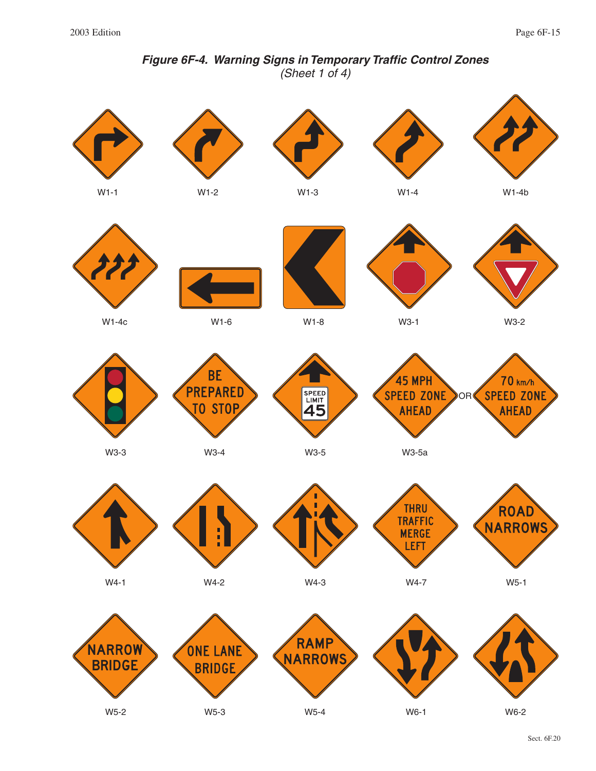

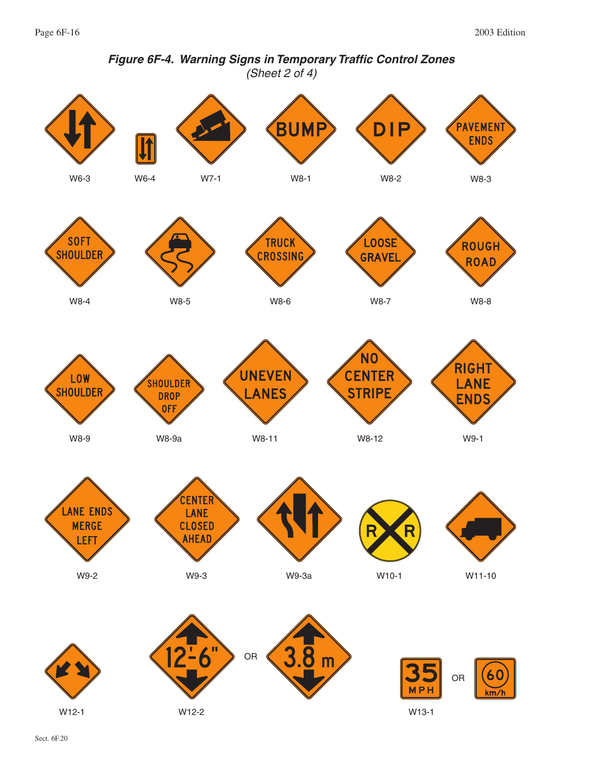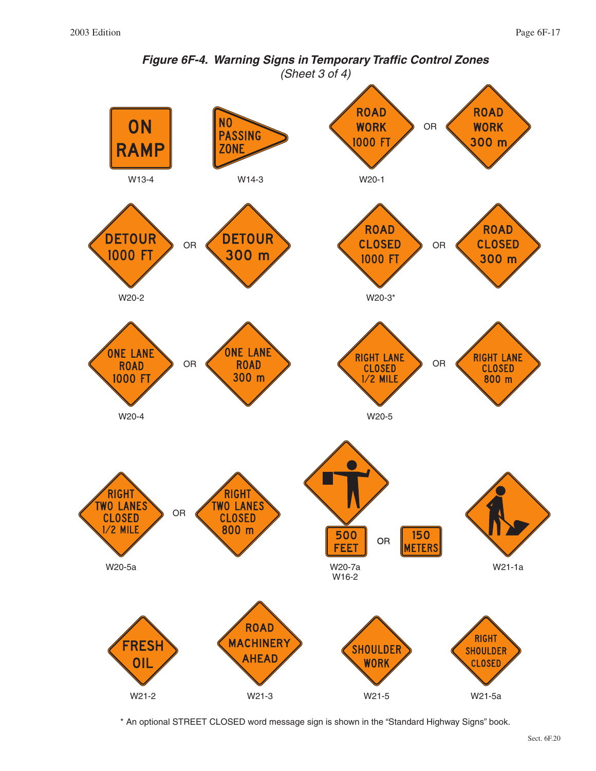

\* An optional STREET CLOSED word message sign is shown in the "Standard Highway Signs" book.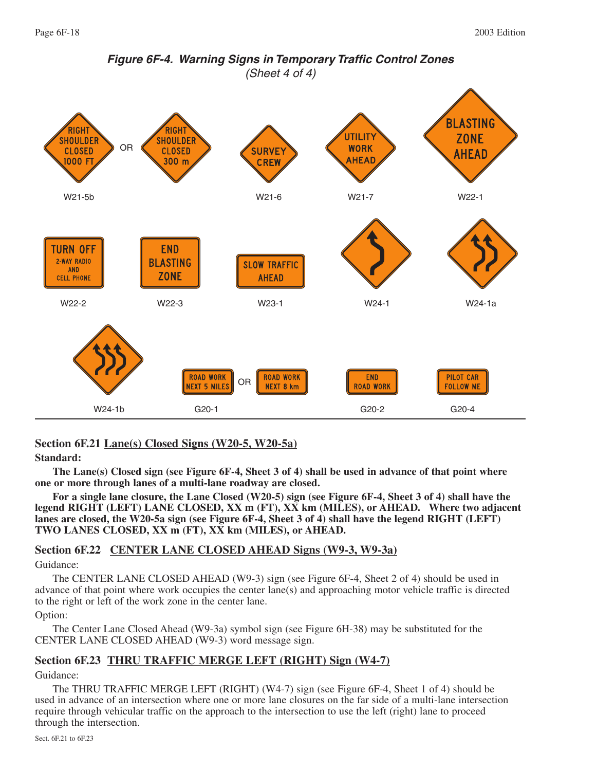

# **Section 6F.21 Lane(s) Closed Signs (W20-5, W20-5a)**

# **Standard:**

**The Lane(s) Closed sign (see Figure 6F-4, Sheet 3 of 4) shall be used in advance of that point where one or more through lanes of a multi-lane roadway are closed.**

**For a single lane closure, the Lane Closed (W20-5) sign (see Figure 6F-4, Sheet 3 of 4) shall have the legend RIGHT (LEFT) LANE CLOSED, XX m (FT), XX km (MILES), or AHEAD. Where two adjacent lanes are closed, the W20-5a sign (see Figure 6F-4, Sheet 3 of 4) shall have the legend RIGHT (LEFT) TWO LANES CLOSED, XX m (FT), XX km (MILES), or AHEAD.**

# **Section 6F.22 CENTER LANE CLOSED AHEAD Signs (W9-3, W9-3a)**

## Guidance:

The CENTER LANE CLOSED AHEAD (W9-3) sign (see Figure 6F-4, Sheet 2 of 4) should be used in advance of that point where work occupies the center lane(s) and approaching motor vehicle traffic is directed to the right or left of the work zone in the center lane.

## Option:

The Center Lane Closed Ahead (W9-3a) symbol sign (see Figure 6H-38) may be substituted for the CENTER LANE CLOSED AHEAD (W9-3) word message sign.

# **Section 6F.23 THRU TRAFFIC MERGE LEFT (RIGHT) Sign (W4-7)**

## Guidance:

The THRU TRAFFIC MERGE LEFT (RIGHT) (W4-7) sign (see Figure 6F-4, Sheet 1 of 4) should be used in advance of an intersection where one or more lane closures on the far side of a multi-lane intersection require through vehicular traffic on the approach to the intersection to use the left (right) lane to proceed through the intersection.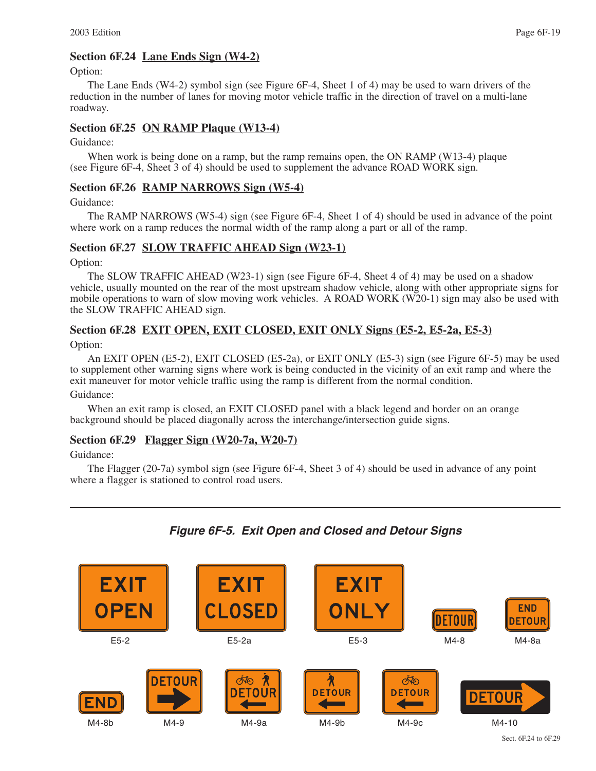# **Section 6F.24 Lane Ends Sign (W4-2)**

Option:

The Lane Ends (W4-2) symbol sign (see Figure 6F-4, Sheet 1 of 4) may be used to warn drivers of the reduction in the number of lanes for moving motor vehicle traffic in the direction of travel on a multi-lane roadway.

# **Section 6F.25 ON RAMP Plaque (W13-4)**

Guidance:

When work is being done on a ramp, but the ramp remains open, the ON RAMP (W13-4) plaque (see Figure 6F-4, Sheet 3 of 4) should be used to supplement the advance ROAD WORK sign.

# **Section 6F.26 RAMP NARROWS Sign (W5-4)**

Guidance:

The RAMP NARROWS (W5-4) sign (see Figure 6F-4, Sheet 1 of 4) should be used in advance of the point where work on a ramp reduces the normal width of the ramp along a part or all of the ramp.

# **Section 6F.27 SLOW TRAFFIC AHEAD Sign (W23-1)**

Option:

The SLOW TRAFFIC AHEAD (W23-1) sign (see Figure 6F-4, Sheet 4 of 4) may be used on a shadow vehicle, usually mounted on the rear of the most upstream shadow vehicle, along with other appropriate signs for mobile operations to warn of slow moving work vehicles. A ROAD WORK (W20-1) sign may also be used with the SLOW TRAFFIC AHEAD sign.

# **Section 6F.28 EXIT OPEN, EXIT CLOSED, EXIT ONLY Signs (E5-2, E5-2a, E5-3)**

Option:

An EXIT OPEN (E5-2), EXIT CLOSED (E5-2a), or EXIT ONLY (E5-3) sign (see Figure 6F-5) may be used to supplement other warning signs where work is being conducted in the vicinity of an exit ramp and where the exit maneuver for motor vehicle traffic using the ramp is different from the normal condition. Guidance:

When an exit ramp is closed, an EXIT CLOSED panel with a black legend and border on an orange background should be placed diagonally across the interchange/intersection guide signs.

# **Section 6F.29 Flagger Sign (W20-7a, W20-7)**

Guidance:

The Flagger (20-7a) symbol sign (see Figure 6F-4, Sheet 3 of 4) should be used in advance of any point where a flagger is stationed to control road users.



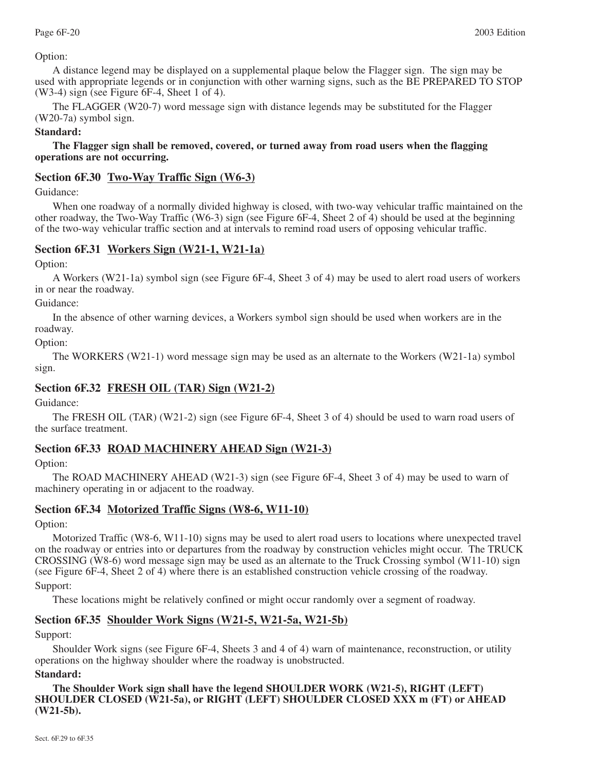Option:

A distance legend may be displayed on a supplemental plaque below the Flagger sign. The sign may be used with appropriate legends or in conjunction with other warning signs, such as the BE PREPARED TO STOP (W3-4) sign (see Figure 6F-4, Sheet 1 of 4).

The FLAGGER (W20-7) word message sign with distance legends may be substituted for the Flagger (W20-7a) symbol sign.

## **Standard:**

**The Flagger sign shall be removed, covered, or turned away from road users when the flagging operations are not occurring.**

# **Section 6F.30 Two-Way Traffic Sign (W6-3)**

Guidance:

When one roadway of a normally divided highway is closed, with two-way vehicular traffic maintained on the other roadway, the Two-Way Traffic (W6-3) sign (see Figure 6F-4, Sheet 2 of 4) should be used at the beginning of the two-way vehicular traffic section and at intervals to remind road users of opposing vehicular traffic.

# **Section 6F.31 Workers Sign (W21-1, W21-1a)**

Option:

A Workers (W21-1a) symbol sign (see Figure 6F-4, Sheet 3 of 4) may be used to alert road users of workers in or near the roadway.

Guidance:

In the absence of other warning devices, a Workers symbol sign should be used when workers are in the roadway.

Option:

The WORKERS (W21-1) word message sign may be used as an alternate to the Workers (W21-1a) symbol sign.

# **Section 6F.32 FRESH OIL (TAR) Sign (W21-2)**

Guidance:

The FRESH OIL (TAR) (W21-2) sign (see Figure 6F-4, Sheet 3 of 4) should be used to warn road users of the surface treatment.

# **Section 6F.33 ROAD MACHINERY AHEAD Sign (W21-3)**

Option:

The ROAD MACHINERY AHEAD (W21-3) sign (see Figure 6F-4, Sheet 3 of 4) may be used to warn of machinery operating in or adjacent to the roadway.

# **Section 6F.34 Motorized Traffic Signs (W8-6, W11-10)**

Option:

Motorized Traffic (W8-6, W11-10) signs may be used to alert road users to locations where unexpected travel on the roadway or entries into or departures from the roadway by construction vehicles might occur. The TRUCK CROSSING (W8-6) word message sign may be used as an alternate to the Truck Crossing symbol (W11-10) sign (see Figure 6F-4, Sheet 2 of 4) where there is an established construction vehicle crossing of the roadway. Support:

These locations might be relatively confined or might occur randomly over a segment of roadway.

# **Section 6F.35 Shoulder Work Signs (W21-5, W21-5a, W21-5b)**

Support:

Shoulder Work signs (see Figure 6F-4, Sheets 3 and 4 of 4) warn of maintenance, reconstruction, or utility operations on the highway shoulder where the roadway is unobstructed.

**Standard:**

**The Shoulder Work sign shall have the legend SHOULDER WORK (W21-5), RIGHT (LEFT) SHOULDER CLOSED (W21-5a), or RIGHT (LEFT) SHOULDER CLOSED XXX m (FT) or AHEAD (W21-5b).**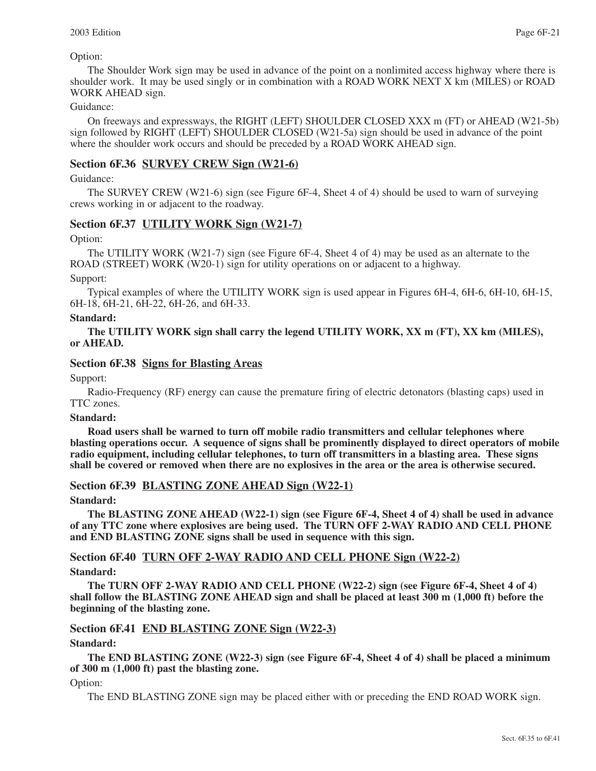## Option:

The Shoulder Work sign may be used in advance of the point on a nonlimited access highway where there is shoulder work. It may be used singly or in combination with a ROAD WORK NEXT X km (MILES) or ROAD WORK AHEAD sign.

## Guidance:

On freeways and expressways, the RIGHT (LEFT) SHOULDER CLOSED XXX m (FT) or AHEAD (W21-5b) sign followed by RIGHT (LEFT) SHOULDER CLOSED (W21-5a) sign should be used in advance of the point where the shoulder work occurs and should be preceded by a ROAD WORK AHEAD sign.

# **Section 6F.36 SURVEY CREW Sign (W21-6)**

## Guidance:

The SURVEY CREW (W21-6) sign (see Figure 6F-4, Sheet 4 of 4) should be used to warn of surveying crews working in or adjacent to the roadway.

# **Section 6F.37 UTILITY WORK Sign (W21-7)**

## Option:

The UTILITY WORK (W21-7) sign (see Figure 6F-4, Sheet 4 of 4) may be used as an alternate to the ROAD (STREET) WORK (W20-1) sign for utility operations on or adjacent to a highway.

## Support:

Typical examples of where the UTILITY WORK sign is used appear in Figures 6H-4, 6H-6, 6H-10, 6H-15, 6H-18, 6H-21, 6H-22, 6H-26, and 6H-33.

# **Standard:**

**The UTILITY WORK sign shall carry the legend UTILITY WORK, XX m (FT), XX km (MILES), or AHEAD.**

# **Section 6F.38 Signs for Blasting Areas**

#### Support:

Radio-Frequency (RF) energy can cause the premature firing of electric detonators (blasting caps) used in TTC zones.

## **Standard:**

**Road users shall be warned to turn off mobile radio transmitters and cellular telephones where blasting operations occur. A sequence of signs shall be prominently displayed to direct operators of mobile radio equipment, including cellular telephones, to turn off transmitters in a blasting area. These signs shall be covered or removed when there are no explosives in the area or the area is otherwise secured.**

## **Section 6F.39 BLASTING ZONE AHEAD Sign (W22-1)**

## **Standard:**

**The BLASTING ZONE AHEAD (W22-1) sign (see Figure 6F-4, Sheet 4 of 4) shall be used in advance of any TTC zone where explosives are being used. The TURN OFF 2-WAY RADIO AND CELL PHONE and END BLASTING ZONE signs shall be used in sequence with this sign.**

## **Section 6F.40 TURN OFF 2-WAY RADIO AND CELL PHONE Sign (W22-2)**

## **Standard:**

**The TURN OFF 2-WAY RADIO AND CELL PHONE (W22-2) sign (see Figure 6F-4, Sheet 4 of 4) shall follow the BLASTING ZONE AHEAD sign and shall be placed at least 300 m (1,000 ft) before the beginning of the blasting zone.**

## **Section 6F.41 END BLASTING ZONE Sign (W22-3)**

## **Standard:**

**The END BLASTING ZONE (W22-3) sign (see Figure 6F-4, Sheet 4 of 4) shall be placed a minimum of 300 m (1,000 ft) past the blasting zone.**

#### Option:

The END BLASTING ZONE sign may be placed either with or preceding the END ROAD WORK sign.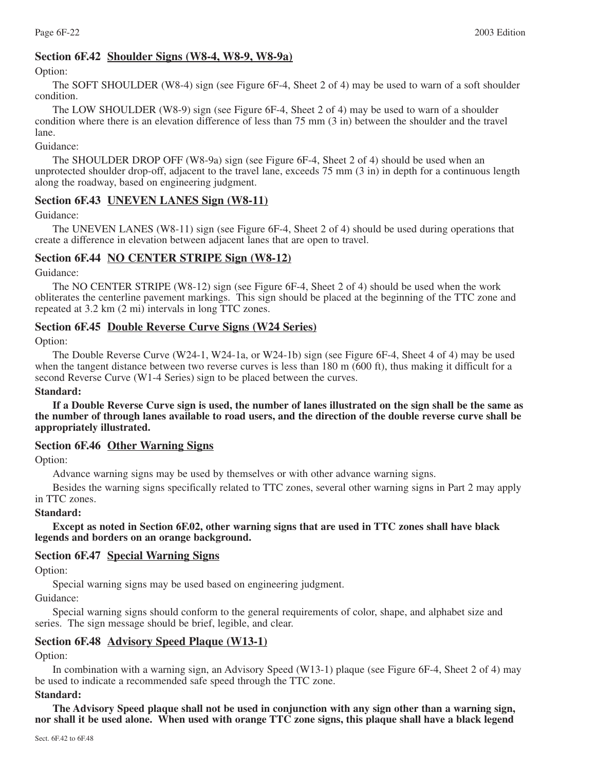# **Section 6F.42 Shoulder Signs (W8-4, W8-9, W8-9a)**

# Option:

The SOFT SHOULDER (W8-4) sign (see Figure 6F-4, Sheet 2 of 4) may be used to warn of a soft shoulder condition.

The LOW SHOULDER (W8-9) sign (see Figure 6F-4, Sheet 2 of 4) may be used to warn of a shoulder condition where there is an elevation difference of less than 75 mm (3 in) between the shoulder and the travel lane.

Guidance:

The SHOULDER DROP OFF (W8-9a) sign (see Figure 6F-4, Sheet 2 of 4) should be used when an unprotected shoulder drop-off, adjacent to the travel lane, exceeds 75 mm (3 in) in depth for a continuous length along the roadway, based on engineering judgment.

# **Section 6F.43 UNEVEN LANES Sign (W8-11)**

Guidance:

The UNEVEN LANES (W8-11) sign (see Figure 6F-4, Sheet 2 of 4) should be used during operations that create a difference in elevation between adjacent lanes that are open to travel.

# **Section 6F.44 NO CENTER STRIPE Sign (W8-12)**

Guidance:

The NO CENTER STRIPE (W8-12) sign (see Figure 6F-4, Sheet 2 of 4) should be used when the work obliterates the centerline pavement markings. This sign should be placed at the beginning of the TTC zone and repeated at 3.2 km (2 mi) intervals in long TTC zones.

# **Section 6F.45 Double Reverse Curve Signs (W24 Series)**

Option:

The Double Reverse Curve (W24-1, W24-1a, or W24-1b) sign (see Figure 6F-4, Sheet 4 of 4) may be used when the tangent distance between two reverse curves is less than 180 m (600 ft), thus making it difficult for a second Reverse Curve (W1-4 Series) sign to be placed between the curves.

# **Standard:**

**If a Double Reverse Curve sign is used, the number of lanes illustrated on the sign shall be the same as the number of through lanes available to road users, and the direction of the double reverse curve shall be appropriately illustrated.**

# **Section 6F.46 Other Warning Signs**

Option:

Advance warning signs may be used by themselves or with other advance warning signs.

Besides the warning signs specifically related to TTC zones, several other warning signs in Part 2 may apply in TTC zones.

## **Standard:**

**Except as noted in Section 6F.02, other warning signs that are used in TTC zones shall have black legends and borders on an orange background.** 

# **Section 6F.47 Special Warning Signs**

Option:

Special warning signs may be used based on engineering judgment.

Guidance:

Special warning signs should conform to the general requirements of color, shape, and alphabet size and series. The sign message should be brief, legible, and clear.

# **Section 6F.48 Advisory Speed Plaque (W13-1)**

Option:

In combination with a warning sign, an Advisory Speed (W13-1) plaque (see Figure 6F-4, Sheet 2 of 4) may be used to indicate a recommended safe speed through the TTC zone.

# **Standard:**

**The Advisory Speed plaque shall not be used in conjunction with any sign other than a warning sign, nor shall it be used alone. When used with orange TTC zone signs, this plaque shall have a black legend**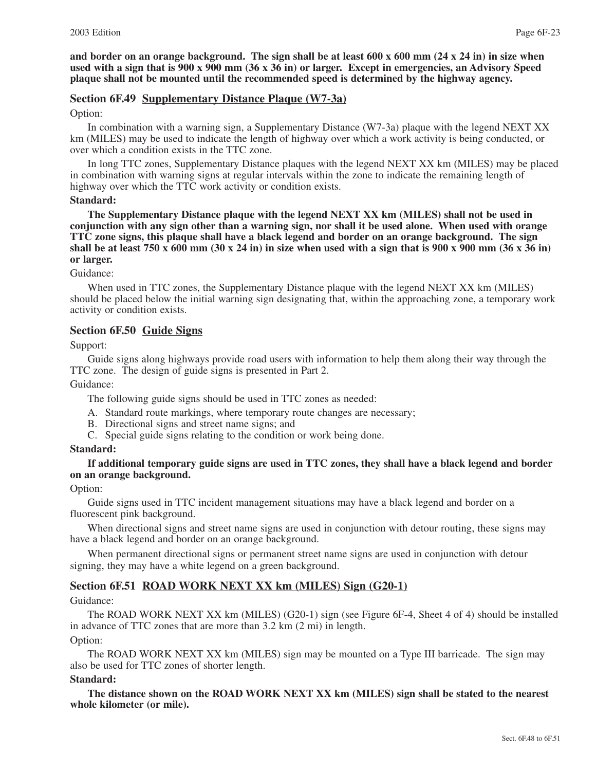**and border on an orange background. The sign shall be at least 600 x 600 mm (24 x 24 in) in size when used with a sign that is 900 x 900 mm (36 x 36 in) or larger. Except in emergencies, an Advisory Speed plaque shall not be mounted until the recommended speed is determined by the highway agency.**

## **Section 6F.49 Supplementary Distance Plaque (W7-3a)**

#### Option:

In combination with a warning sign, a Supplementary Distance (W7-3a) plaque with the legend NEXT XX km (MILES) may be used to indicate the length of highway over which a work activity is being conducted, or over which a condition exists in the TTC zone.

In long TTC zones, Supplementary Distance plaques with the legend NEXT XX km (MILES) may be placed in combination with warning signs at regular intervals within the zone to indicate the remaining length of highway over which the TTC work activity or condition exists.

#### **Standard:**

**The Supplementary Distance plaque with the legend NEXT XX km (MILES) shall not be used in conjunction with any sign other than a warning sign, nor shall it be used alone. When used with orange TTC zone signs, this plaque shall have a black legend and border on an orange background. The sign** shall be at least  $750 \times 600$  mm  $(30 \times 24$  in) in size when used with a sign that is  $900 \times 900$  mm  $(36 \times 36)$  in) **or larger.**

#### Guidance:

When used in TTC zones, the Supplementary Distance plaque with the legend NEXT XX km (MILES) should be placed below the initial warning sign designating that, within the approaching zone, a temporary work activity or condition exists.

## **Section 6F.50 Guide Signs**

Support:

Guide signs along highways provide road users with information to help them along their way through the TTC zone. The design of guide signs is presented in Part 2.

Guidance:

The following guide signs should be used in TTC zones as needed:

- A. Standard route markings, where temporary route changes are necessary;
- B. Directional signs and street name signs; and
- C. Special guide signs relating to the condition or work being done.

#### **Standard:**

**If additional temporary guide signs are used in TTC zones, they shall have a black legend and border on an orange background.**

#### Option:

Guide signs used in TTC incident management situations may have a black legend and border on a fluorescent pink background.

When directional signs and street name signs are used in conjunction with detour routing, these signs may have a black legend and border on an orange background.

When permanent directional signs or permanent street name signs are used in conjunction with detour signing, they may have a white legend on a green background.

# **Section 6F.51 ROAD WORK NEXT XX km (MILES) Sign (G20-1)**

#### Guidance:

The ROAD WORK NEXT XX km (MILES) (G20-1) sign (see Figure 6F-4, Sheet 4 of 4) should be installed in advance of TTC zones that are more than 3.2 km (2 mi) in length. Option:

The ROAD WORK NEXT XX km (MILES) sign may be mounted on a Type III barricade. The sign may also be used for TTC zones of shorter length.

#### **Standard:**

**The distance shown on the ROAD WORK NEXT XX km (MILES) sign shall be stated to the nearest whole kilometer (or mile).**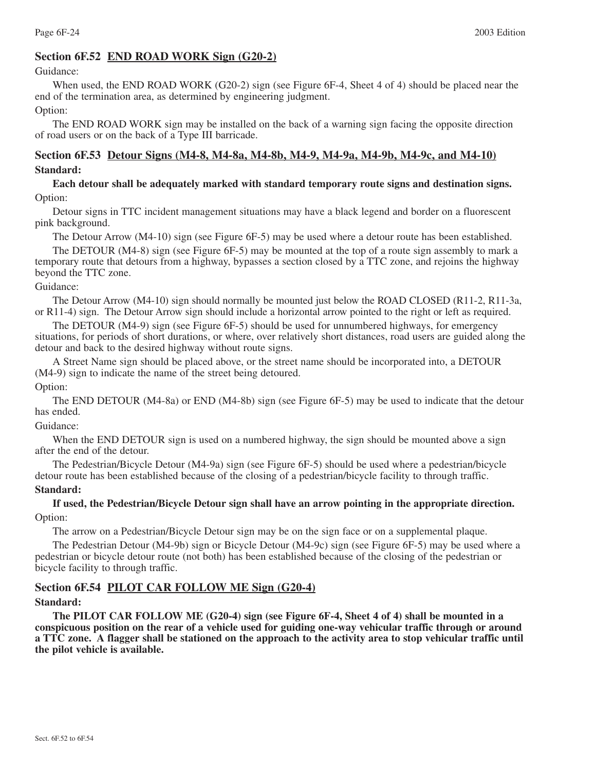# **Section 6F.52 END ROAD WORK Sign (G20-2)**

Guidance:

When used, the END ROAD WORK (G20-2) sign (see Figure 6F-4, Sheet 4 of 4) should be placed near the end of the termination area, as determined by engineering judgment. Option:

## The END ROAD WORK sign may be installed on the back of a warning sign facing the opposite direction of road users or on the back of a Type III barricade.

# **Section 6F.53 Detour Signs (M4-8, M4-8a, M4-8b, M4-9, M4-9a, M4-9b, M4-9c, and M4-10) Standard:**

# **Each detour shall be adequately marked with standard temporary route signs and destination signs.** Option:

Detour signs in TTC incident management situations may have a black legend and border on a fluorescent pink background.

The Detour Arrow (M4-10) sign (see Figure 6F-5) may be used where a detour route has been established.

The DETOUR (M4-8) sign (see Figure 6F-5) may be mounted at the top of a route sign assembly to mark a temporary route that detours from a highway, bypasses a section closed by a TTC zone, and rejoins the highway beyond the TTC zone.

## Guidance:

The Detour Arrow (M4-10) sign should normally be mounted just below the ROAD CLOSED (R11-2, R11-3a, or R11-4) sign. The Detour Arrow sign should include a horizontal arrow pointed to the right or left as required.

The DETOUR (M4-9) sign (see Figure 6F-5) should be used for unnumbered highways, for emergency situations, for periods of short durations, or where, over relatively short distances, road users are guided along the detour and back to the desired highway without route signs.

A Street Name sign should be placed above, or the street name should be incorporated into, a DETOUR (M4-9) sign to indicate the name of the street being detoured.

## Option:

The END DETOUR (M4-8a) or END (M4-8b) sign (see Figure 6F-5) may be used to indicate that the detour has ended.

## Guidance:

When the END DETOUR sign is used on a numbered highway, the sign should be mounted above a sign after the end of the detour.

The Pedestrian/Bicycle Detour (M4-9a) sign (see Figure 6F-5) should be used where a pedestrian/bicycle detour route has been established because of the closing of a pedestrian/bicycle facility to through traffic. **Standard:**

# **If used, the Pedestrian/Bicycle Detour sign shall have an arrow pointing in the appropriate direction.** Option:

The arrow on a Pedestrian/Bicycle Detour sign may be on the sign face or on a supplemental plaque.

The Pedestrian Detour (M4-9b) sign or Bicycle Detour (M4-9c) sign (see Figure 6F-5) may be used where a pedestrian or bicycle detour route (not both) has been established because of the closing of the pedestrian or bicycle facility to through traffic.

# **Section 6F.54 PILOT CAR FOLLOW ME Sign (G20-4)**

## **Standard:**

**The PILOT CAR FOLLOW ME (G20-4) sign (see Figure 6F-4, Sheet 4 of 4) shall be mounted in a conspicuous position on the rear of a vehicle used for guiding one-way vehicular traffic through or around a TTC zone. A flagger shall be stationed on the approach to the activity area to stop vehicular traffic until the pilot vehicle is available.**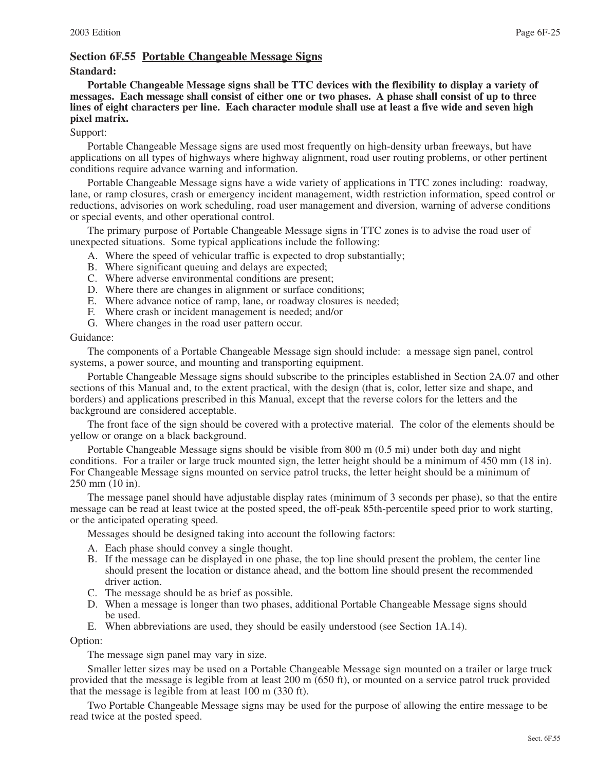## **Section 6F.55 Portable Changeable Message Signs**

#### **Standard:**

**Portable Changeable Message signs shall be TTC devices with the flexibility to display a variety of messages. Each message shall consist of either one or two phases. A phase shall consist of up to three lines of eight characters per line. Each character module shall use at least a five wide and seven high pixel matrix.**

#### Support:

Portable Changeable Message signs are used most frequently on high-density urban freeways, but have applications on all types of highways where highway alignment, road user routing problems, or other pertinent conditions require advance warning and information.

Portable Changeable Message signs have a wide variety of applications in TTC zones including: roadway, lane, or ramp closures, crash or emergency incident management, width restriction information, speed control or reductions, advisories on work scheduling, road user management and diversion, warning of adverse conditions or special events, and other operational control.

The primary purpose of Portable Changeable Message signs in TTC zones is to advise the road user of unexpected situations. Some typical applications include the following:

- A. Where the speed of vehicular traffic is expected to drop substantially;
- B. Where significant queuing and delays are expected;
- C. Where adverse environmental conditions are present;
- D. Where there are changes in alignment or surface conditions;
- E. Where advance notice of ramp, lane, or roadway closures is needed;
- F. Where crash or incident management is needed; and/or
- G. Where changes in the road user pattern occur.

#### Guidance:

The components of a Portable Changeable Message sign should include: a message sign panel, control systems, a power source, and mounting and transporting equipment.

Portable Changeable Message signs should subscribe to the principles established in Section 2A.07 and other sections of this Manual and, to the extent practical, with the design (that is, color, letter size and shape, and borders) and applications prescribed in this Manual, except that the reverse colors for the letters and the background are considered acceptable.

The front face of the sign should be covered with a protective material. The color of the elements should be yellow or orange on a black background.

Portable Changeable Message signs should be visible from 800 m (0.5 mi) under both day and night conditions. For a trailer or large truck mounted sign, the letter height should be a minimum of 450 mm (18 in). For Changeable Message signs mounted on service patrol trucks, the letter height should be a minimum of 250 mm (10 in).

The message panel should have adjustable display rates (minimum of 3 seconds per phase), so that the entire message can be read at least twice at the posted speed, the off-peak 85th-percentile speed prior to work starting, or the anticipated operating speed.

Messages should be designed taking into account the following factors:

- A. Each phase should convey a single thought.
- B. If the message can be displayed in one phase, the top line should present the problem, the center line should present the location or distance ahead, and the bottom line should present the recommended driver action.
- C. The message should be as brief as possible.
- D. When a message is longer than two phases, additional Portable Changeable Message signs should be used.
- E. When abbreviations are used, they should be easily understood (see Section 1A.14).

Option:

The message sign panel may vary in size.

Smaller letter sizes may be used on a Portable Changeable Message sign mounted on a trailer or large truck provided that the message is legible from at least 200 m (650 ft), or mounted on a service patrol truck provided that the message is legible from at least 100 m (330 ft).

Two Portable Changeable Message signs may be used for the purpose of allowing the entire message to be read twice at the posted speed.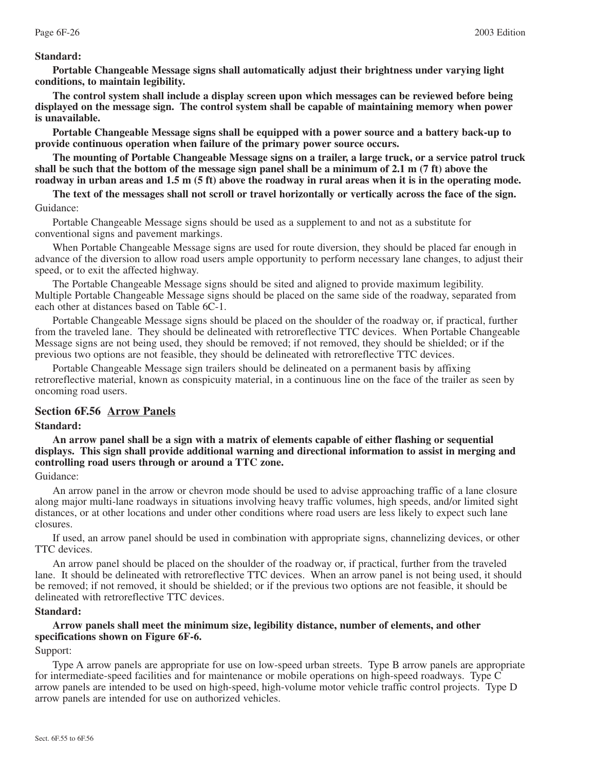#### **Standard:**

**Portable Changeable Message signs shall automatically adjust their brightness under varying light conditions, to maintain legibility.**

**The control system shall include a display screen upon which messages can be reviewed before being displayed on the message sign. The control system shall be capable of maintaining memory when power is unavailable.**

**Portable Changeable Message signs shall be equipped with a power source and a battery back-up to provide continuous operation when failure of the primary power source occurs.**

**The mounting of Portable Changeable Message signs on a trailer, a large truck, or a service patrol truck shall be such that the bottom of the message sign panel shall be a minimum of 2.1 m (7 ft) above the roadway in urban areas and 1.5 m (5 ft) above the roadway in rural areas when it is in the operating mode.**

**The text of the messages shall not scroll or travel horizontally or vertically across the face of the sign.** Guidance:

Portable Changeable Message signs should be used as a supplement to and not as a substitute for conventional signs and pavement markings.

When Portable Changeable Message signs are used for route diversion, they should be placed far enough in advance of the diversion to allow road users ample opportunity to perform necessary lane changes, to adjust their speed, or to exit the affected highway.

The Portable Changeable Message signs should be sited and aligned to provide maximum legibility. Multiple Portable Changeable Message signs should be placed on the same side of the roadway, separated from each other at distances based on Table 6C-1.

Portable Changeable Message signs should be placed on the shoulder of the roadway or, if practical, further from the traveled lane. They should be delineated with retroreflective TTC devices. When Portable Changeable Message signs are not being used, they should be removed; if not removed, they should be shielded; or if the previous two options are not feasible, they should be delineated with retroreflective TTC devices.

Portable Changeable Message sign trailers should be delineated on a permanent basis by affixing retroreflective material, known as conspicuity material, in a continuous line on the face of the trailer as seen by oncoming road users.

## **Section 6F.56 Arrow Panels**

#### **Standard:**

**An arrow panel shall be a sign with a matrix of elements capable of either flashing or sequential displays. This sign shall provide additional warning and directional information to assist in merging and controlling road users through or around a TTC zone.**

## Guidance:

An arrow panel in the arrow or chevron mode should be used to advise approaching traffic of a lane closure along major multi-lane roadways in situations involving heavy traffic volumes, high speeds, and/or limited sight distances, or at other locations and under other conditions where road users are less likely to expect such lane closures.

If used, an arrow panel should be used in combination with appropriate signs, channelizing devices, or other TTC devices.

An arrow panel should be placed on the shoulder of the roadway or, if practical, further from the traveled lane. It should be delineated with retroreflective TTC devices. When an arrow panel is not being used, it should be removed; if not removed, it should be shielded; or if the previous two options are not feasible, it should be delineated with retroreflective TTC devices.

#### **Standard:**

# **Arrow panels shall meet the minimum size, legibility distance, number of elements, and other specifications shown on Figure 6F-6.**

Support:

Type A arrow panels are appropriate for use on low-speed urban streets. Type B arrow panels are appropriate for intermediate-speed facilities and for maintenance or mobile operations on high-speed roadways. Type C arrow panels are intended to be used on high-speed, high-volume motor vehicle traffic control projects. Type D arrow panels are intended for use on authorized vehicles.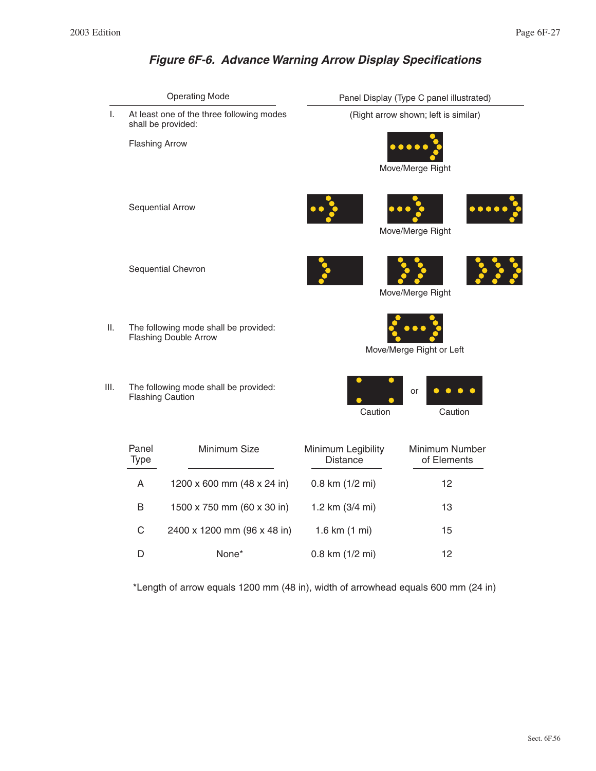# **Figure 6F-6. Advance Warning Arrow Display Specifications**



\*Length of arrow equals 1200 mm (48 in), width of arrowhead equals 600 mm (24 in)

D None\* 0.8 km (1/2 mi) 12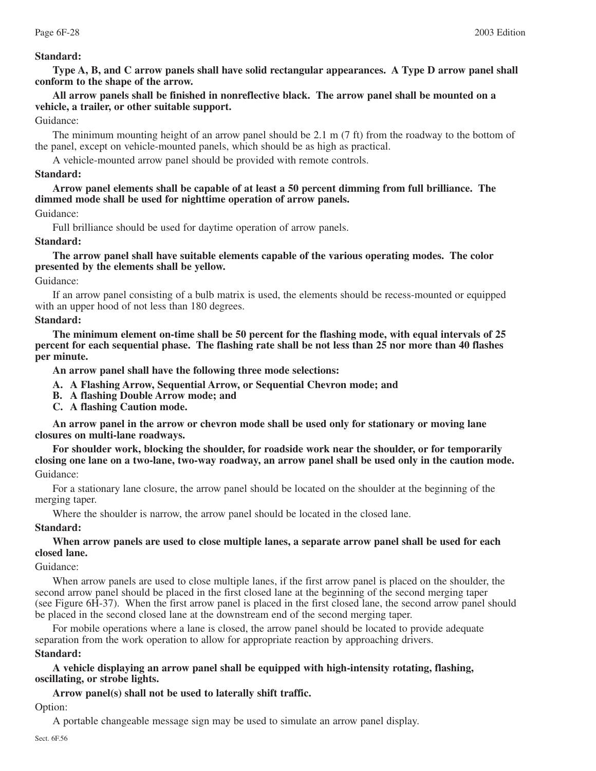#### **Standard:**

**Type A, B, and C arrow panels shall have solid rectangular appearances. A Type D arrow panel shall conform to the shape of the arrow.**

# **All arrow panels shall be finished in nonreflective black. The arrow panel shall be mounted on a vehicle, a trailer, or other suitable support.**

## Guidance:

The minimum mounting height of an arrow panel should be 2.1 m (7 ft) from the roadway to the bottom of the panel, except on vehicle-mounted panels, which should be as high as practical.

A vehicle-mounted arrow panel should be provided with remote controls.

# **Standard:**

# **Arrow panel elements shall be capable of at least a 50 percent dimming from full brilliance. The dimmed mode shall be used for nighttime operation of arrow panels.**

# Guidance:

Full brilliance should be used for daytime operation of arrow panels.

# **Standard:**

**The arrow panel shall have suitable elements capable of the various operating modes. The color presented by the elements shall be yellow.**

# Guidance:

If an arrow panel consisting of a bulb matrix is used, the elements should be recess-mounted or equipped with an upper hood of not less than 180 degrees.

## **Standard:**

**The minimum element on-time shall be 50 percent for the flashing mode, with equal intervals of 25 percent for each sequential phase. The flashing rate shall be not less than 25 nor more than 40 flashes per minute.**

**An arrow panel shall have the following three mode selections:**

**A. A Flashing Arrow, Sequential Arrow, or Sequential Chevron mode; and**

- **B. A flashing Double Arrow mode; and**
- **C. A flashing Caution mode.**

**An arrow panel in the arrow or chevron mode shall be used only for stationary or moving lane closures on multi-lane roadways.**

**For shoulder work, blocking the shoulder, for roadside work near the shoulder, or for temporarily closing one lane on a two-lane, two-way roadway, an arrow panel shall be used only in the caution mode.** Guidance:

## For a stationary lane closure, the arrow panel should be located on the shoulder at the beginning of the merging taper.

Where the shoulder is narrow, the arrow panel should be located in the closed lane.

**Standard:**

# **When arrow panels are used to close multiple lanes, a separate arrow panel shall be used for each closed lane.**

## Guidance:

When arrow panels are used to close multiple lanes, if the first arrow panel is placed on the shoulder, the second arrow panel should be placed in the first closed lane at the beginning of the second merging taper (see Figure 6H-37). When the first arrow panel is placed in the first closed lane, the second arrow panel should be placed in the second closed lane at the downstream end of the second merging taper.

For mobile operations where a lane is closed, the arrow panel should be located to provide adequate separation from the work operation to allow for appropriate reaction by approaching drivers. **Standard:**

**A vehicle displaying an arrow panel shall be equipped with high-intensity rotating, flashing, oscillating, or strobe lights.**

**Arrow panel(s) shall not be used to laterally shift traffic.**

Option:

A portable changeable message sign may be used to simulate an arrow panel display.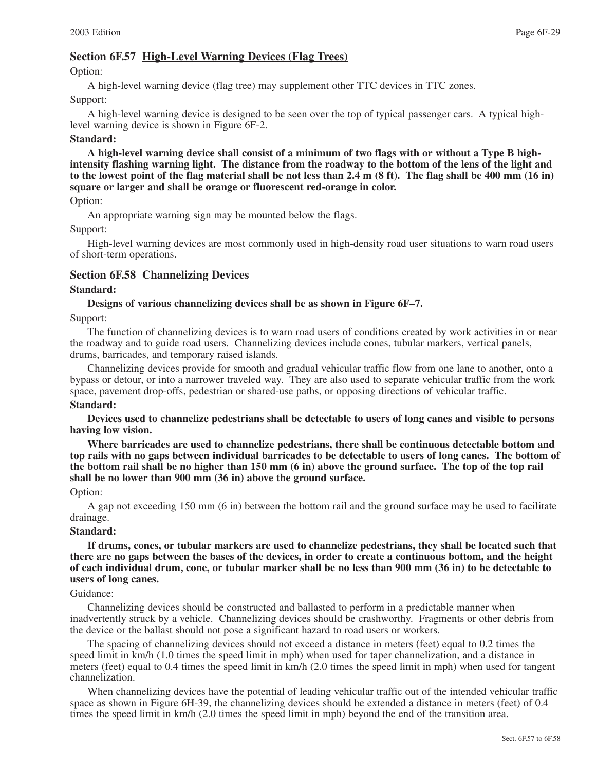# **Section 6F.57 High-Level Warning Devices (Flag Trees)**

#### Option:

A high-level warning device (flag tree) may supplement other TTC devices in TTC zones.

#### Support:

A high-level warning device is designed to be seen over the top of typical passenger cars. A typical highlevel warning device is shown in Figure 6F-2.

## **Standard:**

**A high-level warning device shall consist of a minimum of two flags with or without a Type B highintensity flashing warning light. The distance from the roadway to the bottom of the lens of the light and to the lowest point of the flag material shall be not less than 2.4 m (8 ft). The flag shall be 400 mm (16 in) square or larger and shall be orange or fluorescent red-orange in color.**

## Option:

An appropriate warning sign may be mounted below the flags.

## Support:

High-level warning devices are most commonly used in high-density road user situations to warn road users of short-term operations.

# **Section 6F.58 Channelizing Devices**

#### **Standard:**

## **Designs of various channelizing devices shall be as shown in Figure 6F–7.**

#### Support:

The function of channelizing devices is to warn road users of conditions created by work activities in or near the roadway and to guide road users. Channelizing devices include cones, tubular markers, vertical panels, drums, barricades, and temporary raised islands.

Channelizing devices provide for smooth and gradual vehicular traffic flow from one lane to another, onto a bypass or detour, or into a narrower traveled way. They are also used to separate vehicular traffic from the work space, pavement drop-offs, pedestrian or shared-use paths, or opposing directions of vehicular traffic. **Standard:**

**Devices used to channelize pedestrians shall be detectable to users of long canes and visible to persons having low vision.**

**Where barricades are used to channelize pedestrians, there shall be continuous detectable bottom and top rails with no gaps between individual barricades to be detectable to users of long canes. The bottom of the bottom rail shall be no higher than 150 mm (6 in) above the ground surface. The top of the top rail shall be no lower than 900 mm (36 in) above the ground surface.**

#### Option:

A gap not exceeding 150 mm (6 in) between the bottom rail and the ground surface may be used to facilitate drainage.

#### **Standard:**

**If drums, cones, or tubular markers are used to channelize pedestrians, they shall be located such that there are no gaps between the bases of the devices, in order to create a continuous bottom, and the height of each individual drum, cone, or tubular marker shall be no less than 900 mm (36 in) to be detectable to users of long canes.**

#### Guidance:

Channelizing devices should be constructed and ballasted to perform in a predictable manner when inadvertently struck by a vehicle. Channelizing devices should be crashworthy. Fragments or other debris from the device or the ballast should not pose a significant hazard to road users or workers.

The spacing of channelizing devices should not exceed a distance in meters (feet) equal to 0.2 times the speed limit in km/h (1.0 times the speed limit in mph) when used for taper channelization, and a distance in meters (feet) equal to 0.4 times the speed limit in km/h (2.0 times the speed limit in mph) when used for tangent channelization.

When channelizing devices have the potential of leading vehicular traffic out of the intended vehicular traffic space as shown in Figure 6H-39, the channelizing devices should be extended a distance in meters (feet) of 0.4 times the speed limit in km/h (2.0 times the speed limit in mph) beyond the end of the transition area.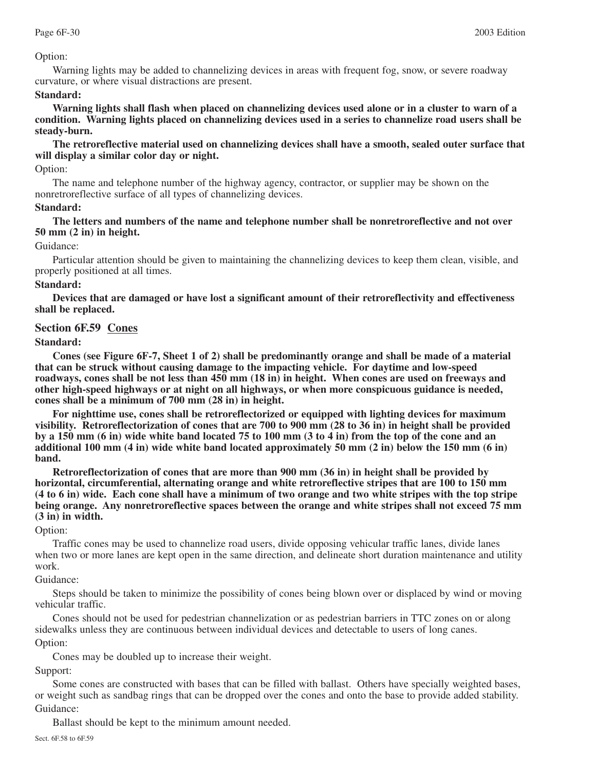#### Option:

Warning lights may be added to channelizing devices in areas with frequent fog, snow, or severe roadway curvature, or where visual distractions are present.

#### **Standard:**

**Warning lights shall flash when placed on channelizing devices used alone or in a cluster to warn of a condition. Warning lights placed on channelizing devices used in a series to channelize road users shall be steady-burn.**

**The retroreflective material used on channelizing devices shall have a smooth, sealed outer surface that will display a similar color day or night.**

Option:

The name and telephone number of the highway agency, contractor, or supplier may be shown on the nonretroreflective surface of all types of channelizing devices.

#### **Standard:**

## **The letters and numbers of the name and telephone number shall be nonretroreflective and not over 50 mm (2 in) in height.**

## Guidance:

Particular attention should be given to maintaining the channelizing devices to keep them clean, visible, and properly positioned at all times.

## **Standard:**

**Devices that are damaged or have lost a significant amount of their retroreflectivity and effectiveness shall be replaced.**

# **Section 6F.59 Cones**

## **Standard:**

**Cones (see Figure 6F-7, Sheet 1 of 2) shall be predominantly orange and shall be made of a material that can be struck without causing damage to the impacting vehicle. For daytime and low-speed roadways, cones shall be not less than 450 mm (18 in) in height. When cones are used on freeways and other high-speed highways or at night on all highways, or when more conspicuous guidance is needed, cones shall be a minimum of 700 mm (28 in) in height.**

**For nighttime use, cones shall be retroreflectorized or equipped with lighting devices for maximum visibility. Retroreflectorization of cones that are 700 to 900 mm (28 to 36 in) in height shall be provided by a 150 mm (6 in) wide white band located 75 to 100 mm (3 to 4 in) from the top of the cone and an additional 100 mm (4 in) wide white band located approximately 50 mm (2 in) below the 150 mm (6 in) band.**

**Retroreflectorization of cones that are more than 900 mm (36 in) in height shall be provided by horizontal, circumferential, alternating orange and white retroreflective stripes that are 100 to 150 mm (4 to 6 in) wide. Each cone shall have a minimum of two orange and two white stripes with the top stripe being orange. Any nonretroreflective spaces between the orange and white stripes shall not exceed 75 mm (3 in) in width.**

Option:

Traffic cones may be used to channelize road users, divide opposing vehicular traffic lanes, divide lanes when two or more lanes are kept open in the same direction, and delineate short duration maintenance and utility work.

#### Guidance:

Steps should be taken to minimize the possibility of cones being blown over or displaced by wind or moving vehicular traffic.

Cones should not be used for pedestrian channelization or as pedestrian barriers in TTC zones on or along sidewalks unless they are continuous between individual devices and detectable to users of long canes. Option:

Cones may be doubled up to increase their weight.

Support:

Some cones are constructed with bases that can be filled with ballast. Others have specially weighted bases, or weight such as sandbag rings that can be dropped over the cones and onto the base to provide added stability. Guidance:

Ballast should be kept to the minimum amount needed.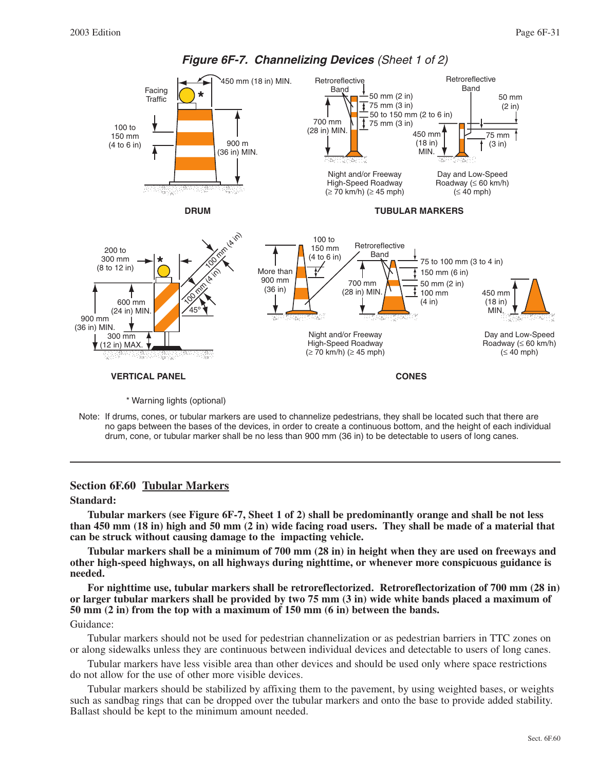

## **Figure 6F-7. Channelizing Devices** (Sheet 1 of 2)

Note: If drums, cones, or tubular markers are used to channelize pedestrians, they shall be located such that there are no gaps between the bases of the devices, in order to create a continuous bottom, and the height of each individual drum, cone, or tubular marker shall be no less than 900 mm (36 in) to be detectable to users of long canes.

## **Section 6F.60 Tubular Markers**

#### **Standard:**

**Tubular markers (see Figure 6F-7, Sheet 1 of 2) shall be predominantly orange and shall be not less than 450 mm (18 in) high and 50 mm (2 in) wide facing road users. They shall be made of a material that can be struck without causing damage to the impacting vehicle.**

**Tubular markers shall be a minimum of 700 mm (28 in) in height when they are used on freeways and other high-speed highways, on all highways during nighttime, or whenever more conspicuous guidance is needed.**

**For nighttime use, tubular markers shall be retroreflectorized. Retroreflectorization of 700 mm (28 in) or larger tubular markers shall be provided by two 75 mm (3 in) wide white bands placed a maximum of 50 mm (2 in) from the top with a maximum of 150 mm (6 in) between the bands.**

#### Guidance:

Tubular markers should not be used for pedestrian channelization or as pedestrian barriers in TTC zones on or along sidewalks unless they are continuous between individual devices and detectable to users of long canes.

Tubular markers have less visible area than other devices and should be used only where space restrictions do not allow for the use of other more visible devices.

Tubular markers should be stabilized by affixing them to the pavement, by using weighted bases, or weights such as sandbag rings that can be dropped over the tubular markers and onto the base to provide added stability. Ballast should be kept to the minimum amount needed.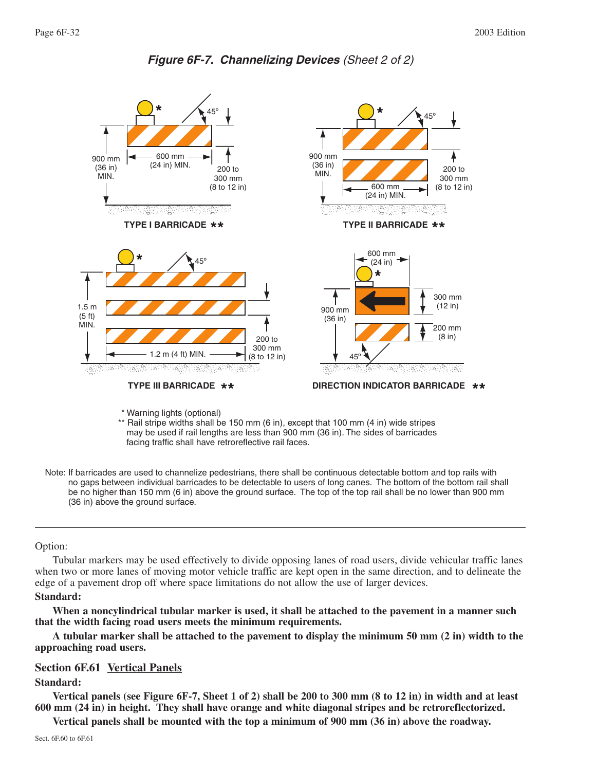

# **Figure 6F-7. Channelizing Devices** (Sheet 2 of 2)



\*\* Rail stripe widths shall be 150 mm (6 in), except that 100 mm (4 in) wide stripes may be used if rail lengths are less than 900 mm (36 in). The sides of barricades facing traffic shall have retroreflective rail faces.

Note: If barricades are used to channelize pedestrians, there shall be continuous detectable bottom and top rails with no gaps between individual barricades to be detectable to users of long canes. The bottom of the bottom rail shall be no higher than 150 mm (6 in) above the ground surface. The top of the top rail shall be no lower than 900 mm (36 in) above the ground surface.

#### Option:

Tubular markers may be used effectively to divide opposing lanes of road users, divide vehicular traffic lanes when two or more lanes of moving motor vehicle traffic are kept open in the same direction, and to delineate the edge of a pavement drop off where space limitations do not allow the use of larger devices.

# **Standard:**

**When a noncylindrical tubular marker is used, it shall be attached to the pavement in a manner such that the width facing road users meets the minimum requirements.**

**A tubular marker shall be attached to the pavement to display the minimum 50 mm (2 in) width to the approaching road users.**

# **Section 6F.61 Vertical Panels**

#### **Standard:**

**Vertical panels (see Figure 6F-7, Sheet 1 of 2) shall be 200 to 300 mm (8 to 12 in) in width and at least 600 mm (24 in) in height. They shall have orange and white diagonal stripes and be retroreflectorized.**

**Vertical panels shall be mounted with the top a minimum of 900 mm (36 in) above the roadway.**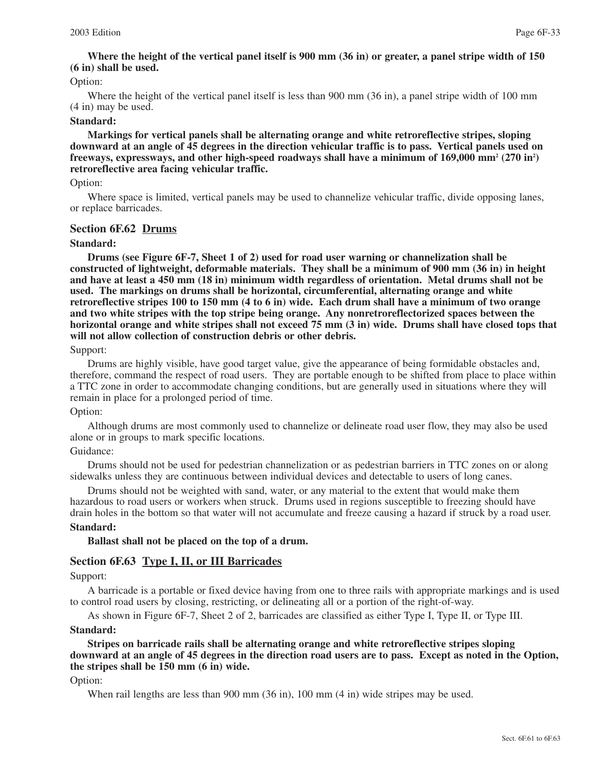## **Where the height of the vertical panel itself is 900 mm (36 in) or greater, a panel stripe width of 150 (6 in) shall be used.**

#### Option:

Where the height of the vertical panel itself is less than 900 mm (36 in), a panel stripe width of 100 mm (4 in) may be used.

#### **Standard:**

**Markings for vertical panels shall be alternating orange and white retroreflective stripes, sloping downward at an angle of 45 degrees in the direction vehicular traffic is to pass. Vertical panels used on freeways, expressways, and other high-speed roadways shall have a minimum of 169,000 mm2 (270 in2 ) retroreflective area facing vehicular traffic.**

#### Option:

Where space is limited, vertical panels may be used to channelize vehicular traffic, divide opposing lanes, or replace barricades.

## **Section 6F.62 Drums**

#### **Standard:**

**Drums (see Figure 6F-7, Sheet 1 of 2) used for road user warning or channelization shall be constructed of lightweight, deformable materials. They shall be a minimum of 900 mm (36 in) in height and have at least a 450 mm (18 in) minimum width regardless of orientation. Metal drums shall not be used. The markings on drums shall be horizontal, circumferential, alternating orange and white retroreflective stripes 100 to 150 mm (4 to 6 in) wide. Each drum shall have a minimum of two orange and two white stripes with the top stripe being orange. Any nonretroreflectorized spaces between the horizontal orange and white stripes shall not exceed 75 mm (3 in) wide. Drums shall have closed tops that will not allow collection of construction debris or other debris.**

#### Support:

Drums are highly visible, have good target value, give the appearance of being formidable obstacles and, therefore, command the respect of road users. They are portable enough to be shifted from place to place within a TTC zone in order to accommodate changing conditions, but are generally used in situations where they will remain in place for a prolonged period of time.

#### Option:

Although drums are most commonly used to channelize or delineate road user flow, they may also be used alone or in groups to mark specific locations.

#### Guidance:

Drums should not be used for pedestrian channelization or as pedestrian barriers in TTC zones on or along sidewalks unless they are continuous between individual devices and detectable to users of long canes.

Drums should not be weighted with sand, water, or any material to the extent that would make them hazardous to road users or workers when struck. Drums used in regions susceptible to freezing should have drain holes in the bottom so that water will not accumulate and freeze causing a hazard if struck by a road user.

#### **Standard:**

#### **Ballast shall not be placed on the top of a drum.**

## **Section 6F.63 Type I, II, or III Barricades**

#### Support:

A barricade is a portable or fixed device having from one to three rails with appropriate markings and is used to control road users by closing, restricting, or delineating all or a portion of the right-of-way.

As shown in Figure 6F-7, Sheet 2 of 2, barricades are classified as either Type I, Type II, or Type III.

#### **Standard:**

**Stripes on barricade rails shall be alternating orange and white retroreflective stripes sloping downward at an angle of 45 degrees in the direction road users are to pass. Except as noted in the Option, the stripes shall be 150 mm (6 in) wide.**

#### Option:

When rail lengths are less than 900 mm (36 in), 100 mm (4 in) wide stripes may be used.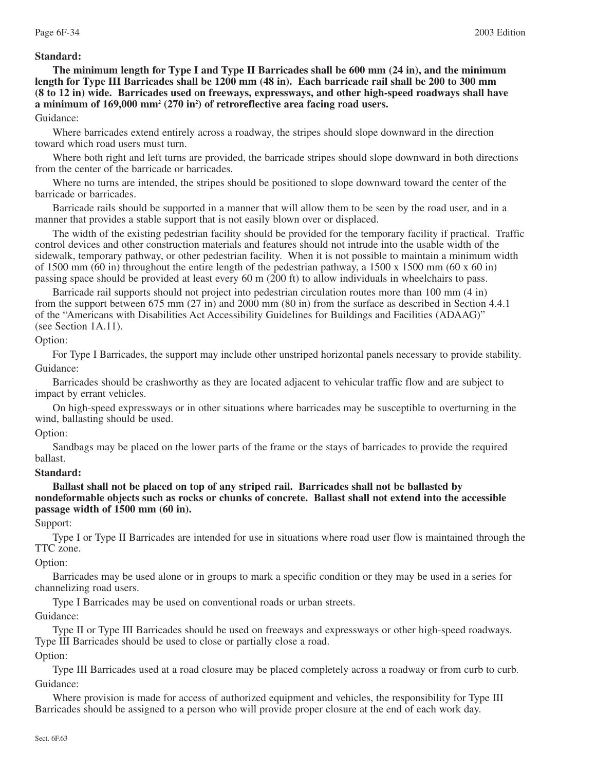## **Standard:**

**The minimum length for Type I and Type II Barricades shall be 600 mm (24 in), and the minimum length for Type III Barricades shall be 1200 mm (48 in). Each barricade rail shall be 200 to 300 mm (8 to 12 in) wide. Barricades used on freeways, expressways, and other high-speed roadways shall have a minimum of 169,000 mm2 (270 in2 ) of retroreflective area facing road users.**

#### Guidance:

Where barricades extend entirely across a roadway, the stripes should slope downward in the direction toward which road users must turn.

Where both right and left turns are provided, the barricade stripes should slope downward in both directions from the center of the barricade or barricades.

Where no turns are intended, the stripes should be positioned to slope downward toward the center of the barricade or barricades.

Barricade rails should be supported in a manner that will allow them to be seen by the road user, and in a manner that provides a stable support that is not easily blown over or displaced.

The width of the existing pedestrian facility should be provided for the temporary facility if practical. Traffic control devices and other construction materials and features should not intrude into the usable width of the sidewalk, temporary pathway, or other pedestrian facility. When it is not possible to maintain a minimum width of 1500 mm (60 in) throughout the entire length of the pedestrian pathway, a 1500 x 1500 mm (60 x 60 in) passing space should be provided at least every 60 m (200 ft) to allow individuals in wheelchairs to pass.

Barricade rail supports should not project into pedestrian circulation routes more than 100 mm (4 in) from the support between 675 mm (27 in) and 2000 mm (80 in) from the surface as described in Section 4.4.1 of the "Americans with Disabilities Act Accessibility Guidelines for Buildings and Facilities (ADAAG)" (see Section 1A.11).

#### Option:

For Type I Barricades, the support may include other unstriped horizontal panels necessary to provide stability. Guidance:

Barricades should be crashworthy as they are located adjacent to vehicular traffic flow and are subject to impact by errant vehicles.

On high-speed expressways or in other situations where barricades may be susceptible to overturning in the wind, ballasting should be used.

## Option:

Sandbags may be placed on the lower parts of the frame or the stays of barricades to provide the required ballast.

## **Standard:**

**Ballast shall not be placed on top of any striped rail. Barricades shall not be ballasted by nondeformable objects such as rocks or chunks of concrete. Ballast shall not extend into the accessible passage width of 1500 mm (60 in).**

Support:

Type I or Type II Barricades are intended for use in situations where road user flow is maintained through the TTC zone.

## Option:

Barricades may be used alone or in groups to mark a specific condition or they may be used in a series for channelizing road users.

Type I Barricades may be used on conventional roads or urban streets.

## Guidance:

Type II or Type III Barricades should be used on freeways and expressways or other high-speed roadways. Type III Barricades should be used to close or partially close a road.

## Option:

Type III Barricades used at a road closure may be placed completely across a roadway or from curb to curb. Guidance:

Where provision is made for access of authorized equipment and vehicles, the responsibility for Type III Barricades should be assigned to a person who will provide proper closure at the end of each work day.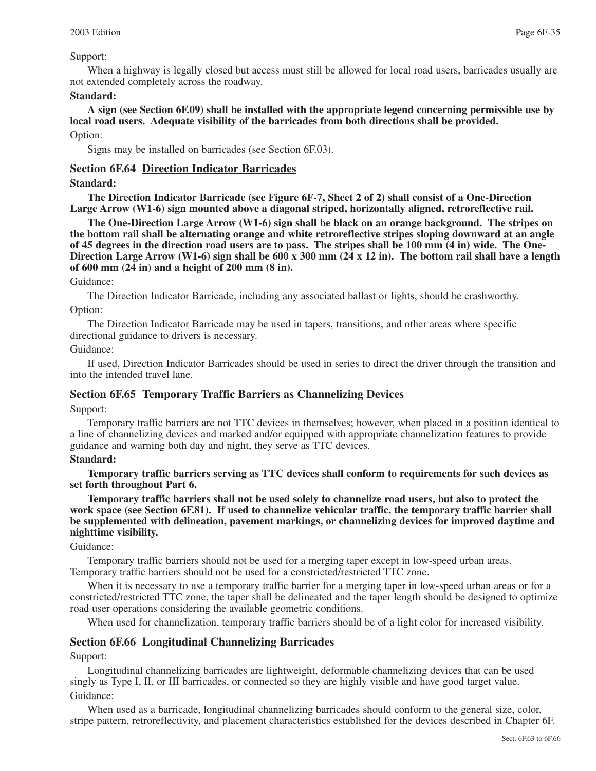## Support:

When a highway is legally closed but access must still be allowed for local road users, barricades usually are not extended completely across the roadway.

## **Standard:**

**A sign (see Section 6F.09) shall be installed with the appropriate legend concerning permissible use by local road users. Adequate visibility of the barricades from both directions shall be provided.** Option:

Signs may be installed on barricades (see Section 6F.03).

# **Section 6F.64 Direction Indicator Barricades**

## **Standard:**

**The Direction Indicator Barricade (see Figure 6F-7, Sheet 2 of 2) shall consist of a One-Direction Large Arrow (W1-6) sign mounted above a diagonal striped, horizontally aligned, retroreflective rail.**

**The One-Direction Large Arrow (W1-6) sign shall be black on an orange background. The stripes on the bottom rail shall be alternating orange and white retroreflective stripes sloping downward at an angle of 45 degrees in the direction road users are to pass. The stripes shall be 100 mm (4 in) wide. The One-Direction Large Arrow (W1-6) sign shall be 600 x 300 mm (24 x 12 in). The bottom rail shall have a length of 600 mm (24 in) and a height of 200 mm (8 in).**

#### Guidance:

The Direction Indicator Barricade, including any associated ballast or lights, should be crashworthy.

## Option:

The Direction Indicator Barricade may be used in tapers, transitions, and other areas where specific directional guidance to drivers is necessary.

## Guidance:

If used, Direction Indicator Barricades should be used in series to direct the driver through the transition and into the intended travel lane.

# **Section 6F.65 Temporary Traffic Barriers as Channelizing Devices**

## Support:

Temporary traffic barriers are not TTC devices in themselves; however, when placed in a position identical to a line of channelizing devices and marked and/or equipped with appropriate channelization features to provide guidance and warning both day and night, they serve as TTC devices.

## **Standard:**

**Temporary traffic barriers serving as TTC devices shall conform to requirements for such devices as set forth throughout Part 6.** 

**Temporary traffic barriers shall not be used solely to channelize road users, but also to protect the work space (see Section 6F.81). If used to channelize vehicular traffic, the temporary traffic barrier shall be supplemented with delineation, pavement markings, or channelizing devices for improved daytime and nighttime visibility.**

## Guidance:

Temporary traffic barriers should not be used for a merging taper except in low-speed urban areas. Temporary traffic barriers should not be used for a constricted/restricted TTC zone.

When it is necessary to use a temporary traffic barrier for a merging taper in low-speed urban areas or for a constricted/restricted TTC zone, the taper shall be delineated and the taper length should be designed to optimize road user operations considering the available geometric conditions.

When used for channelization, temporary traffic barriers should be of a light color for increased visibility.

## **Section 6F.66 Longitudinal Channelizing Barricades**

## Support:

Longitudinal channelizing barricades are lightweight, deformable channelizing devices that can be used singly as Type I, II, or III barricades, or connected so they are highly visible and have good target value. Guidance:

When used as a barricade, longitudinal channelizing barricades should conform to the general size, color, stripe pattern, retroreflectivity, and placement characteristics established for the devices described in Chapter 6F.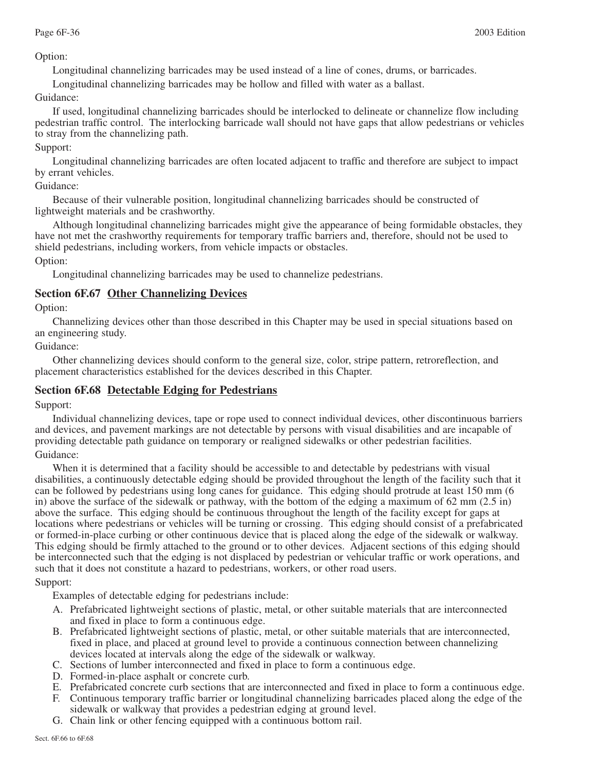## Option:

Longitudinal channelizing barricades may be used instead of a line of cones, drums, or barricades.

Longitudinal channelizing barricades may be hollow and filled with water as a ballast.

# Guidance:

If used, longitudinal channelizing barricades should be interlocked to delineate or channelize flow including pedestrian traffic control. The interlocking barricade wall should not have gaps that allow pedestrians or vehicles to stray from the channelizing path.

# Support:

Longitudinal channelizing barricades are often located adjacent to traffic and therefore are subject to impact by errant vehicles.

# Guidance:

Because of their vulnerable position, longitudinal channelizing barricades should be constructed of lightweight materials and be crashworthy.

Although longitudinal channelizing barricades might give the appearance of being formidable obstacles, they have not met the crashworthy requirements for temporary traffic barriers and, therefore, should not be used to shield pedestrians, including workers, from vehicle impacts or obstacles.

## Option:

Longitudinal channelizing barricades may be used to channelize pedestrians.

# **Section 6F.67 Other Channelizing Devices**

Option:

Channelizing devices other than those described in this Chapter may be used in special situations based on an engineering study.

Guidance:

Other channelizing devices should conform to the general size, color, stripe pattern, retroreflection, and placement characteristics established for the devices described in this Chapter.

# **Section 6F.68 Detectable Edging for Pedestrians**

Support:

Individual channelizing devices, tape or rope used to connect individual devices, other discontinuous barriers and devices, and pavement markings are not detectable by persons with visual disabilities and are incapable of providing detectable path guidance on temporary or realigned sidewalks or other pedestrian facilities. Guidance:

When it is determined that a facility should be accessible to and detectable by pedestrians with visual disabilities, a continuously detectable edging should be provided throughout the length of the facility such that it can be followed by pedestrians using long canes for guidance. This edging should protrude at least 150 mm (6 in) above the surface of the sidewalk or pathway, with the bottom of the edging a maximum of 62 mm (2.5 in) above the surface. This edging should be continuous throughout the length of the facility except for gaps at locations where pedestrians or vehicles will be turning or crossing. This edging should consist of a prefabricated or formed-in-place curbing or other continuous device that is placed along the edge of the sidewalk or walkway. This edging should be firmly attached to the ground or to other devices. Adjacent sections of this edging should be interconnected such that the edging is not displaced by pedestrian or vehicular traffic or work operations, and such that it does not constitute a hazard to pedestrians, workers, or other road users.

## Support:

Examples of detectable edging for pedestrians include:

- A. Prefabricated lightweight sections of plastic, metal, or other suitable materials that are interconnected and fixed in place to form a continuous edge.
- B. Prefabricated lightweight sections of plastic, metal, or other suitable materials that are interconnected, fixed in place, and placed at ground level to provide a continuous connection between channelizing devices located at intervals along the edge of the sidewalk or walkway.
- C. Sections of lumber interconnected and fixed in place to form a continuous edge.
- D. Formed-in-place asphalt or concrete curb.
- E. Prefabricated concrete curb sections that are interconnected and fixed in place to form a continuous edge.
- F. Continuous temporary traffic barrier or longitudinal channelizing barricades placed along the edge of the sidewalk or walkway that provides a pedestrian edging at ground level.
- G. Chain link or other fencing equipped with a continuous bottom rail.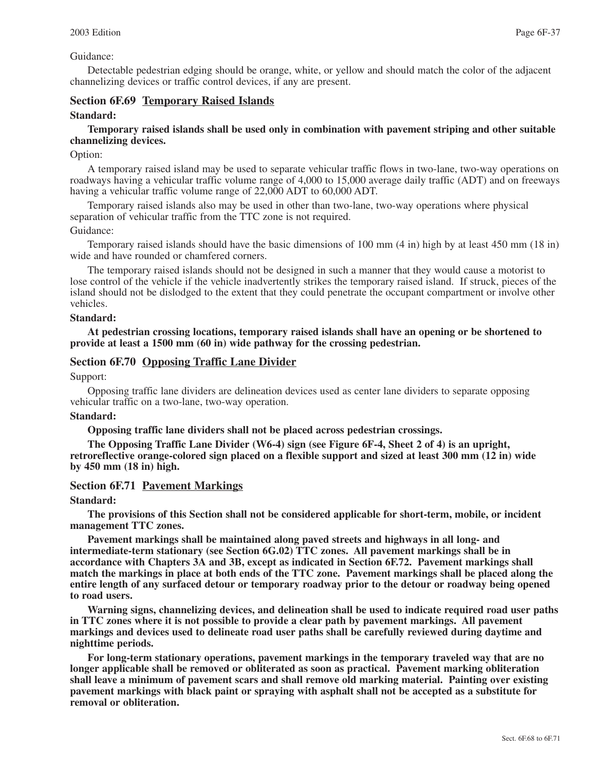Detectable pedestrian edging should be orange, white, or yellow and should match the color of the adjacent channelizing devices or traffic control devices, if any are present.

# **Section 6F.69 Temporary Raised Islands**

#### **Standard:**

**Temporary raised islands shall be used only in combination with pavement striping and other suitable channelizing devices.**

## Option:

A temporary raised island may be used to separate vehicular traffic flows in two-lane, two-way operations on roadways having a vehicular traffic volume range of 4,000 to 15,000 average daily traffic (ADT) and on freeways having a vehicular traffic volume range of 22,000 ADT to 60,000 ADT.

Temporary raised islands also may be used in other than two-lane, two-way operations where physical separation of vehicular traffic from the TTC zone is not required.

#### Guidance:

Temporary raised islands should have the basic dimensions of 100 mm (4 in) high by at least 450 mm (18 in) wide and have rounded or chamfered corners.

The temporary raised islands should not be designed in such a manner that they would cause a motorist to lose control of the vehicle if the vehicle inadvertently strikes the temporary raised island. If struck, pieces of the island should not be dislodged to the extent that they could penetrate the occupant compartment or involve other vehicles.

#### **Standard:**

**At pedestrian crossing locations, temporary raised islands shall have an opening or be shortened to provide at least a 1500 mm (60 in) wide pathway for the crossing pedestrian.**

## **Section 6F.70 Opposing Traffic Lane Divider**

#### Support:

Opposing traffic lane dividers are delineation devices used as center lane dividers to separate opposing vehicular traffic on a two-lane, two-way operation.

#### **Standard:**

**Opposing traffic lane dividers shall not be placed across pedestrian crossings.**

**The Opposing Traffic Lane Divider (W6-4) sign (see Figure 6F-4, Sheet 2 of 4) is an upright, retroreflective orange-colored sign placed on a flexible support and sized at least 300 mm (12 in) wide by 450 mm (18 in) high.**

## **Section 6F.71 Pavement Markings**

#### **Standard:**

**The provisions of this Section shall not be considered applicable for short-term, mobile, or incident management TTC zones.**

**Pavement markings shall be maintained along paved streets and highways in all long- and intermediate-term stationary (see Section 6G.02) TTC zones. All pavement markings shall be in accordance with Chapters 3A and 3B, except as indicated in Section 6F.72. Pavement markings shall match the markings in place at both ends of the TTC zone. Pavement markings shall be placed along the entire length of any surfaced detour or temporary roadway prior to the detour or roadway being opened to road users.**

**Warning signs, channelizing devices, and delineation shall be used to indicate required road user paths in TTC zones where it is not possible to provide a clear path by pavement markings. All pavement markings and devices used to delineate road user paths shall be carefully reviewed during daytime and nighttime periods.** 

**For long-term stationary operations, pavement markings in the temporary traveled way that are no longer applicable shall be removed or obliterated as soon as practical. Pavement marking obliteration shall leave a minimum of pavement scars and shall remove old marking material. Painting over existing pavement markings with black paint or spraying with asphalt shall not be accepted as a substitute for removal or obliteration.**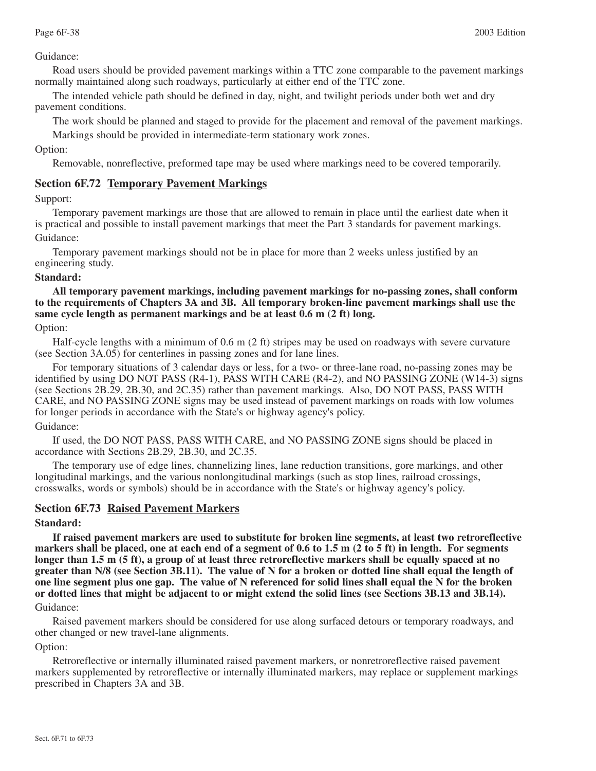#### Guidance:

Road users should be provided pavement markings within a TTC zone comparable to the pavement markings normally maintained along such roadways, particularly at either end of the TTC zone.

The intended vehicle path should be defined in day, night, and twilight periods under both wet and dry pavement conditions.

The work should be planned and staged to provide for the placement and removal of the pavement markings.

Markings should be provided in intermediate-term stationary work zones.

# Option:

Removable, nonreflective, preformed tape may be used where markings need to be covered temporarily.

# **Section 6F.72 Temporary Pavement Markings**

# Support:

Temporary pavement markings are those that are allowed to remain in place until the earliest date when it is practical and possible to install pavement markings that meet the Part 3 standards for pavement markings. Guidance:

Temporary pavement markings should not be in place for more than 2 weeks unless justified by an engineering study.

## **Standard:**

**All temporary pavement markings, including pavement markings for no-passing zones, shall conform to the requirements of Chapters 3A and 3B. All temporary broken-line pavement markings shall use the same cycle length as permanent markings and be at least 0.6 m (2 ft) long.**

Option:

Half-cycle lengths with a minimum of 0.6 m (2 ft) stripes may be used on roadways with severe curvature (see Section 3A.05) for centerlines in passing zones and for lane lines.

For temporary situations of 3 calendar days or less, for a two- or three-lane road, no-passing zones may be identified by using DO NOT PASS (R4-1), PASS WITH CARE (R4-2), and NO PASSING ZONE (W14-3) signs (see Sections 2B.29, 2B.30, and 2C.35) rather than pavement markings. Also, DO NOT PASS, PASS WITH CARE, and NO PASSING ZONE signs may be used instead of pavement markings on roads with low volumes for longer periods in accordance with the State's or highway agency's policy.

## Guidance:

If used, the DO NOT PASS, PASS WITH CARE, and NO PASSING ZONE signs should be placed in accordance with Sections 2B.29, 2B.30, and 2C.35.

The temporary use of edge lines, channelizing lines, lane reduction transitions, gore markings, and other longitudinal markings, and the various nonlongitudinal markings (such as stop lines, railroad crossings, crosswalks, words or symbols) should be in accordance with the State's or highway agency's policy.

# **Section 6F.73 Raised Pavement Markers**

## **Standard:**

**If raised pavement markers are used to substitute for broken line segments, at least two retroreflective markers shall be placed, one at each end of a segment of 0.6 to 1.5 m (2 to 5 ft) in length. For segments longer than 1.5 m (5 ft), a group of at least three retroreflective markers shall be equally spaced at no greater than N/8 (see Section 3B.11). The value of N for a broken or dotted line shall equal the length of one line segment plus one gap. The value of N referenced for solid lines shall equal the N for the broken or dotted lines that might be adjacent to or might extend the solid lines (see Sections 3B.13 and 3B.14).**

## Guidance:

Raised pavement markers should be considered for use along surfaced detours or temporary roadways, and other changed or new travel-lane alignments.

## Option:

Retroreflective or internally illuminated raised pavement markers, or nonretroreflective raised pavement markers supplemented by retroreflective or internally illuminated markers, may replace or supplement markings prescribed in Chapters 3A and 3B.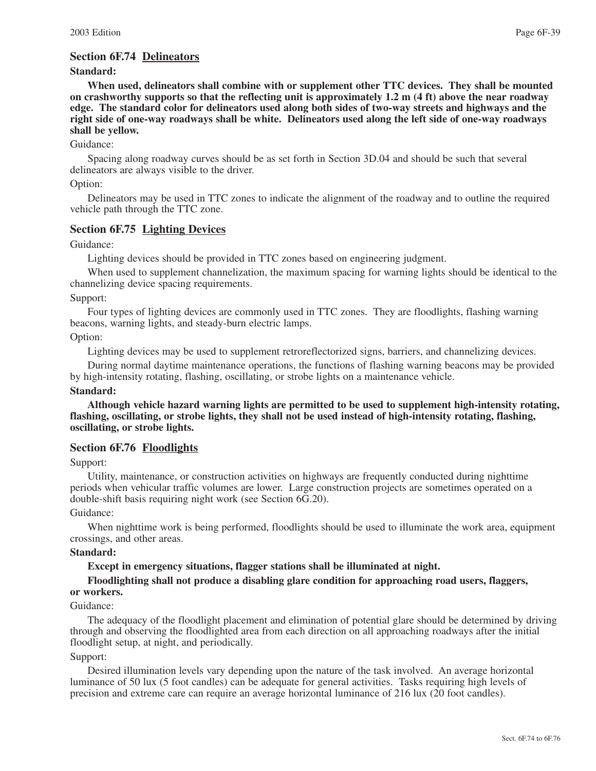# **Section 6F.74 Delineators**

#### **Standard:**

**When used, delineators shall combine with or supplement other TTC devices. They shall be mounted on crashworthy supports so that the reflecting unit is approximately 1.2 m (4 ft) above the near roadway edge. The standard color for delineators used along both sides of two-way streets and highways and the right side of one-way roadways shall be white. Delineators used along the left side of one-way roadways shall be yellow.**

Guidance:

Spacing along roadway curves should be as set forth in Section 3D.04 and should be such that several delineators are always visible to the driver.

#### Option:

Delineators may be used in TTC zones to indicate the alignment of the roadway and to outline the required vehicle path through the TTC zone.

# **Section 6F.75 Lighting Devices**

Guidance:

Lighting devices should be provided in TTC zones based on engineering judgment.

When used to supplement channelization, the maximum spacing for warning lights should be identical to the channelizing device spacing requirements.

Support:

Four types of lighting devices are commonly used in TTC zones. They are floodlights, flashing warning beacons, warning lights, and steady-burn electric lamps.

#### Option:

Lighting devices may be used to supplement retroreflectorized signs, barriers, and channelizing devices.

During normal daytime maintenance operations, the functions of flashing warning beacons may be provided by high-intensity rotating, flashing, oscillating, or strobe lights on a maintenance vehicle.

#### **Standard:**

**Although vehicle hazard warning lights are permitted to be used to supplement high-intensity rotating, flashing, oscillating, or strobe lights, they shall not be used instead of high-intensity rotating, flashing, oscillating, or strobe lights.**

## **Section 6F.76 Floodlights**

Support:

Utility, maintenance, or construction activities on highways are frequently conducted during nighttime periods when vehicular traffic volumes are lower. Large construction projects are sometimes operated on a double-shift basis requiring night work (see Section 6G.20).

#### Guidance:

When nighttime work is being performed, floodlights should be used to illuminate the work area, equipment crossings, and other areas.

#### **Standard:**

## **Except in emergency situations, flagger stations shall be illuminated at night.**

**Floodlighting shall not produce a disabling glare condition for approaching road users, flaggers, or workers.**

#### Guidance:

The adequacy of the floodlight placement and elimination of potential glare should be determined by driving through and observing the floodlighted area from each direction on all approaching roadways after the initial floodlight setup, at night, and periodically.

## Support:

Desired illumination levels vary depending upon the nature of the task involved. An average horizontal luminance of 50 lux (5 foot candles) can be adequate for general activities. Tasks requiring high levels of precision and extreme care can require an average horizontal luminance of 216 lux (20 foot candles).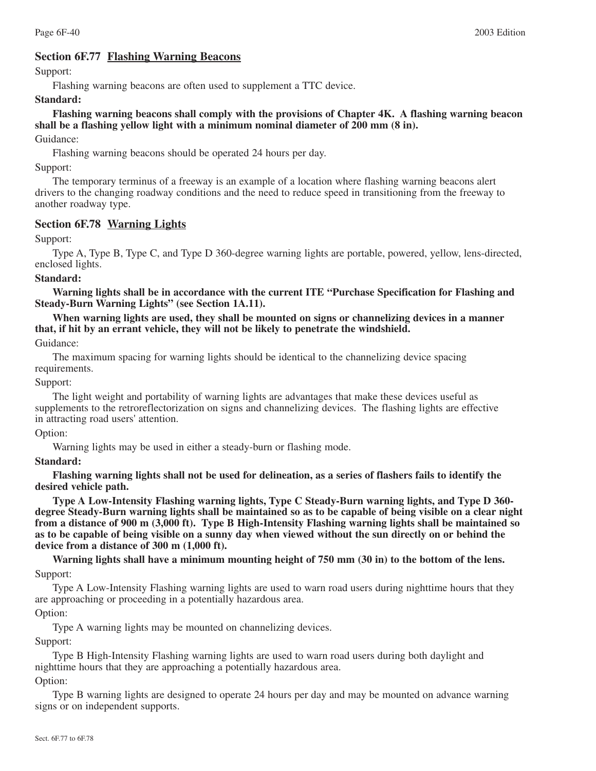# **Section 6F.77 Flashing Warning Beacons**

## Support:

Flashing warning beacons are often used to supplement a TTC device.

# **Standard:**

**Flashing warning beacons shall comply with the provisions of Chapter 4K. A flashing warning beacon shall be a flashing yellow light with a minimum nominal diameter of 200 mm (8 in).**

Guidance:

Flashing warning beacons should be operated 24 hours per day.

# Support:

The temporary terminus of a freeway is an example of a location where flashing warning beacons alert drivers to the changing roadway conditions and the need to reduce speed in transitioning from the freeway to another roadway type.

# **Section 6F.78 Warning Lights**

# Support:

Type A, Type B, Type C, and Type D 360-degree warning lights are portable, powered, yellow, lens-directed, enclosed lights.

# **Standard:**

**Warning lights shall be in accordance with the current ITE "Purchase Specification for Flashing and Steady-Burn Warning Lights" (see Section 1A.11).**

## **When warning lights are used, they shall be mounted on signs or channelizing devices in a manner that, if hit by an errant vehicle, they will not be likely to penetrate the windshield.**

# Guidance:

The maximum spacing for warning lights should be identical to the channelizing device spacing requirements.

## Support:

The light weight and portability of warning lights are advantages that make these devices useful as supplements to the retroreflectorization on signs and channelizing devices. The flashing lights are effective in attracting road users' attention.

## Option:

Warning lights may be used in either a steady-burn or flashing mode.

# **Standard:**

**Flashing warning lights shall not be used for delineation, as a series of flashers fails to identify the desired vehicle path.**

**Type A Low-Intensity Flashing warning lights, Type C Steady-Burn warning lights, and Type D 360 degree Steady-Burn warning lights shall be maintained so as to be capable of being visible on a clear night from a distance of 900 m (3,000 ft). Type B High-Intensity Flashing warning lights shall be maintained so as to be capable of being visible on a sunny day when viewed without the sun directly on or behind the device from a distance of 300 m (1,000 ft).** 

**Warning lights shall have a minimum mounting height of 750 mm (30 in) to the bottom of the lens.** Support:

Type A Low-Intensity Flashing warning lights are used to warn road users during nighttime hours that they are approaching or proceeding in a potentially hazardous area.

## Option:

Type A warning lights may be mounted on channelizing devices.

# Support:

Type B High-Intensity Flashing warning lights are used to warn road users during both daylight and nighttime hours that they are approaching a potentially hazardous area.

## Option:

Type B warning lights are designed to operate 24 hours per day and may be mounted on advance warning signs or on independent supports.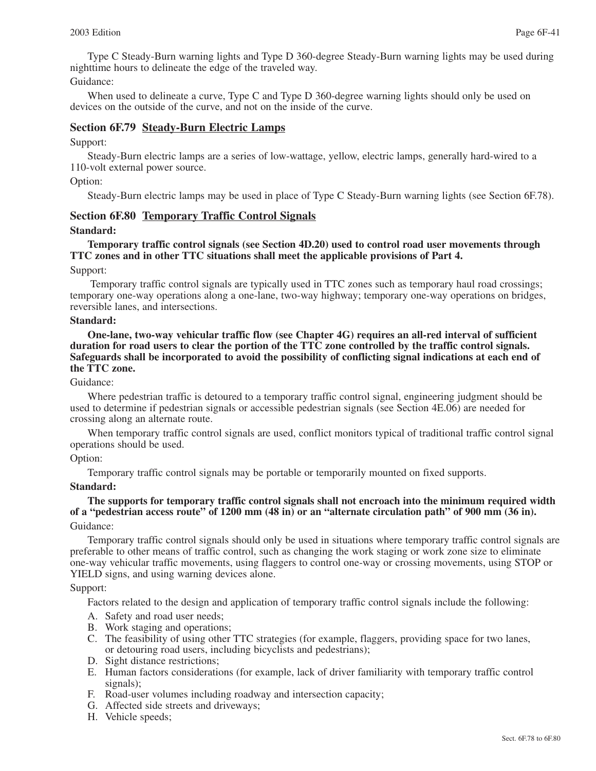Type C Steady-Burn warning lights and Type D 360-degree Steady-Burn warning lights may be used during nighttime hours to delineate the edge of the traveled way.

## Guidance:

When used to delineate a curve, Type C and Type D 360-degree warning lights should only be used on devices on the outside of the curve, and not on the inside of the curve.

# **Section 6F.79 Steady-Burn Electric Lamps**

#### Support:

Steady-Burn electric lamps are a series of low-wattage, yellow, electric lamps, generally hard-wired to a 110-volt external power source.

#### Option:

Steady-Burn electric lamps may be used in place of Type C Steady-Burn warning lights (see Section 6F.78).

## **Section 6F.80 Temporary Traffic Control Signals**

#### **Standard:**

## **Temporary traffic control signals (see Section 4D.20) used to control road user movements through TTC zones and in other TTC situations shall meet the applicable provisions of Part 4.**

#### Support:

Temporary traffic control signals are typically used in TTC zones such as temporary haul road crossings; temporary one-way operations along a one-lane, two-way highway; temporary one-way operations on bridges, reversible lanes, and intersections.

#### **Standard:**

**One-lane, two-way vehicular traffic flow (see Chapter 4G) requires an all-red interval of sufficient duration for road users to clear the portion of the TTC zone controlled by the traffic control signals. Safeguards shall be incorporated to avoid the possibility of conflicting signal indications at each end of the TTC zone.**

#### Guidance:

Where pedestrian traffic is detoured to a temporary traffic control signal, engineering judgment should be used to determine if pedestrian signals or accessible pedestrian signals (see Section 4E.06) are needed for crossing along an alternate route.

When temporary traffic control signals are used, conflict monitors typical of traditional traffic control signal operations should be used.

## Option:

Temporary traffic control signals may be portable or temporarily mounted on fixed supports.

#### **Standard:**

**The supports for temporary traffic control signals shall not encroach into the minimum required width of a "pedestrian access route" of 1200 mm (48 in) or an "alternate circulation path" of 900 mm (36 in).** Guidance:

Temporary traffic control signals should only be used in situations where temporary traffic control signals are preferable to other means of traffic control, such as changing the work staging or work zone size to eliminate one-way vehicular traffic movements, using flaggers to control one-way or crossing movements, using STOP or YIELD signs, and using warning devices alone.

#### Support:

Factors related to the design and application of temporary traffic control signals include the following:

- A. Safety and road user needs;
- B. Work staging and operations;
- C. The feasibility of using other TTC strategies (for example, flaggers, providing space for two lanes, or detouring road users, including bicyclists and pedestrians);
- D. Sight distance restrictions;
- E. Human factors considerations (for example, lack of driver familiarity with temporary traffic control signals);
- F. Road-user volumes including roadway and intersection capacity;
- G. Affected side streets and driveways;
- H. Vehicle speeds;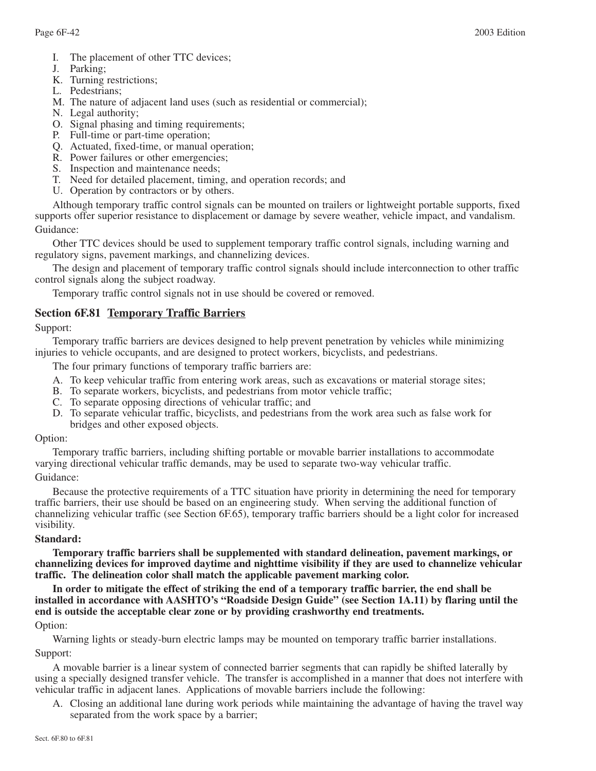- I. The placement of other TTC devices;
- J. Parking;
- K. Turning restrictions;
- L. Pedestrians;
- M. The nature of adjacent land uses (such as residential or commercial);
- N. Legal authority;
- O. Signal phasing and timing requirements;
- P. Full-time or part-time operation;
- Q. Actuated, fixed-time, or manual operation;
- R. Power failures or other emergencies;
- S. Inspection and maintenance needs;
- T. Need for detailed placement, timing, and operation records; and
- U. Operation by contractors or by others.

Although temporary traffic control signals can be mounted on trailers or lightweight portable supports, fixed supports offer superior resistance to displacement or damage by severe weather, vehicle impact, and vandalism. Guidance:

Other TTC devices should be used to supplement temporary traffic control signals, including warning and regulatory signs, pavement markings, and channelizing devices.

The design and placement of temporary traffic control signals should include interconnection to other traffic control signals along the subject roadway.

Temporary traffic control signals not in use should be covered or removed.

# **Section 6F.81 Temporary Traffic Barriers**

Support:

Temporary traffic barriers are devices designed to help prevent penetration by vehicles while minimizing injuries to vehicle occupants, and are designed to protect workers, bicyclists, and pedestrians.

The four primary functions of temporary traffic barriers are:

- A. To keep vehicular traffic from entering work areas, such as excavations or material storage sites;
- B. To separate workers, bicyclists, and pedestrians from motor vehicle traffic;
- C. To separate opposing directions of vehicular traffic; and
- D. To separate vehicular traffic, bicyclists, and pedestrians from the work area such as false work for bridges and other exposed objects.

#### Option:

Temporary traffic barriers, including shifting portable or movable barrier installations to accommodate varying directional vehicular traffic demands, may be used to separate two-way vehicular traffic. Guidance:

Because the protective requirements of a TTC situation have priority in determining the need for temporary traffic barriers, their use should be based on an engineering study. When serving the additional function of channelizing vehicular traffic (see Section 6F.65), temporary traffic barriers should be a light color for increased visibility.

#### **Standard:**

**Temporary traffic barriers shall be supplemented with standard delineation, pavement markings, or channelizing devices for improved daytime and nighttime visibility if they are used to channelize vehicular traffic. The delineation color shall match the applicable pavement marking color.**

**In order to mitigate the effect of striking the end of a temporary traffic barrier, the end shall be installed in accordance with AASHTO's "Roadside Design Guide" (see Section 1A.11) by flaring until the end is outside the acceptable clear zone or by providing crashworthy end treatments.**

#### Option:

Warning lights or steady-burn electric lamps may be mounted on temporary traffic barrier installations.

#### Support:

A movable barrier is a linear system of connected barrier segments that can rapidly be shifted laterally by using a specially designed transfer vehicle. The transfer is accomplished in a manner that does not interfere with vehicular traffic in adjacent lanes. Applications of movable barriers include the following:

A. Closing an additional lane during work periods while maintaining the advantage of having the travel way separated from the work space by a barrier;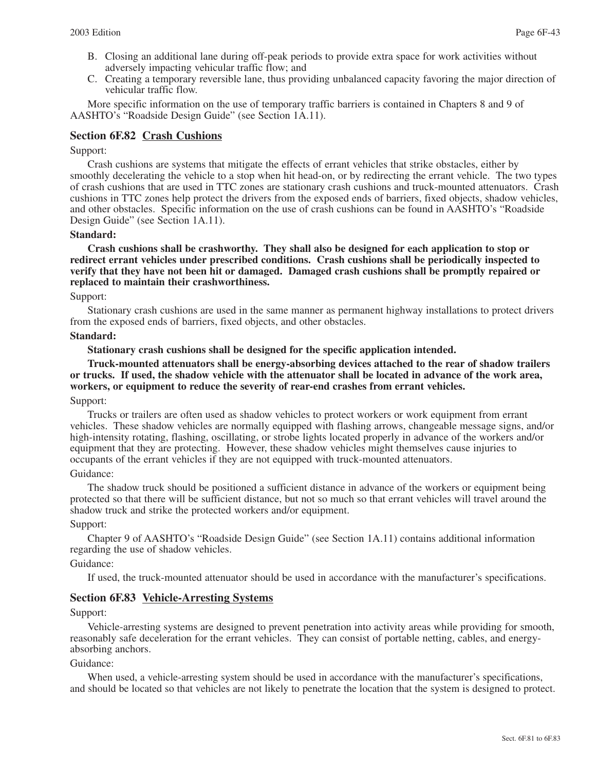- B. Closing an additional lane during off-peak periods to provide extra space for work activities without adversely impacting vehicular traffic flow; and
- C. Creating a temporary reversible lane, thus providing unbalanced capacity favoring the major direction of vehicular traffic flow.

More specific information on the use of temporary traffic barriers is contained in Chapters 8 and 9 of AASHTO's "Roadside Design Guide" (see Section 1A.11).

#### **Section 6F.82 Crash Cushions**

#### Support:

Crash cushions are systems that mitigate the effects of errant vehicles that strike obstacles, either by smoothly decelerating the vehicle to a stop when hit head-on, or by redirecting the errant vehicle. The two types of crash cushions that are used in TTC zones are stationary crash cushions and truck-mounted attenuators. Crash cushions in TTC zones help protect the drivers from the exposed ends of barriers, fixed objects, shadow vehicles, and other obstacles. Specific information on the use of crash cushions can be found in AASHTO's "Roadside Design Guide" (see Section 1A.11).

#### **Standard:**

**Crash cushions shall be crashworthy. They shall also be designed for each application to stop or redirect errant vehicles under prescribed conditions. Crash cushions shall be periodically inspected to verify that they have not been hit or damaged. Damaged crash cushions shall be promptly repaired or replaced to maintain their crashworthiness.**

#### Support:

Stationary crash cushions are used in the same manner as permanent highway installations to protect drivers from the exposed ends of barriers, fixed objects, and other obstacles.

#### **Standard:**

**Stationary crash cushions shall be designed for the specific application intended.**

**Truck-mounted attenuators shall be energy-absorbing devices attached to the rear of shadow trailers or trucks. If used, the shadow vehicle with the attenuator shall be located in advance of the work area, workers, or equipment to reduce the severity of rear-end crashes from errant vehicles.**

# Support:

Trucks or trailers are often used as shadow vehicles to protect workers or work equipment from errant vehicles. These shadow vehicles are normally equipped with flashing arrows, changeable message signs, and/or high-intensity rotating, flashing, oscillating, or strobe lights located properly in advance of the workers and/or equipment that they are protecting. However, these shadow vehicles might themselves cause injuries to occupants of the errant vehicles if they are not equipped with truck-mounted attenuators.

#### Guidance:

The shadow truck should be positioned a sufficient distance in advance of the workers or equipment being protected so that there will be sufficient distance, but not so much so that errant vehicles will travel around the shadow truck and strike the protected workers and/or equipment.

#### Support:

Chapter 9 of AASHTO's "Roadside Design Guide" (see Section 1A.11) contains additional information regarding the use of shadow vehicles.

#### Guidance:

If used, the truck-mounted attenuator should be used in accordance with the manufacturer's specifications.

#### **Section 6F.83 Vehicle-Arresting Systems**

#### Support:

Vehicle-arresting systems are designed to prevent penetration into activity areas while providing for smooth, reasonably safe deceleration for the errant vehicles. They can consist of portable netting, cables, and energyabsorbing anchors.

#### Guidance:

When used, a vehicle-arresting system should be used in accordance with the manufacturer's specifications, and should be located so that vehicles are not likely to penetrate the location that the system is designed to protect.